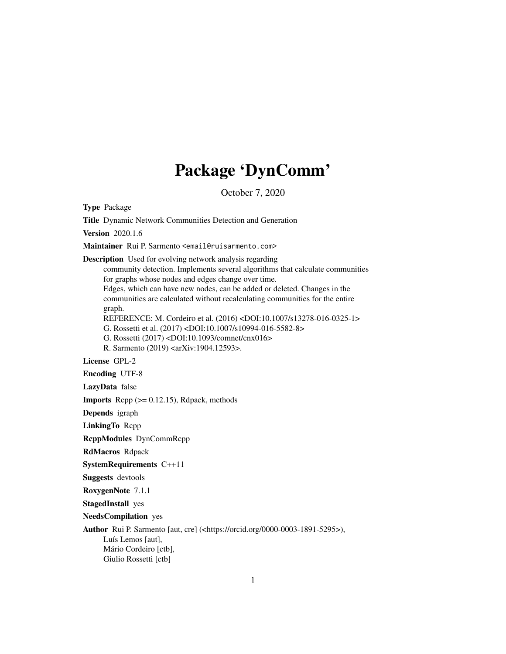# Package 'DynComm'

October 7, 2020

<span id="page-0-0"></span>Type Package

Title Dynamic Network Communities Detection and Generation

Version 2020.1.6

Maintainer Rui P. Sarmento <email@ruisarmento.com>

Description Used for evolving network analysis regarding

community detection. Implements several algorithms that calculate communities for graphs whose nodes and edges change over time.

Edges, which can have new nodes, can be added or deleted. Changes in the communities are calculated without recalculating communities for the entire graph.

REFERENCE: M. Cordeiro et al. (2016) <DOI:10.1007/s13278-016-0325-1> G. Rossetti et al. (2017) <DOI:10.1007/s10994-016-5582-8> G. Rossetti (2017) <DOI:10.1093/comnet/cnx016>

R. Sarmento (2019) <arXiv:1904.12593>.

License GPL-2

Encoding UTF-8

LazyData false

**Imports** Rcpp  $(>= 0.12.15)$ , Rdpack, methods

Depends igraph

LinkingTo Rcpp

RcppModules DynCommRcpp

RdMacros Rdpack

SystemRequirements C++11

Suggests devtools

RoxygenNote 7.1.1

StagedInstall yes

NeedsCompilation yes

Author Rui P. Sarmento [aut, cre] (<https://orcid.org/0000-0003-1891-5295>),

Luís Lemos [aut], Mário Cordeiro [ctb], Giulio Rossetti [ctb]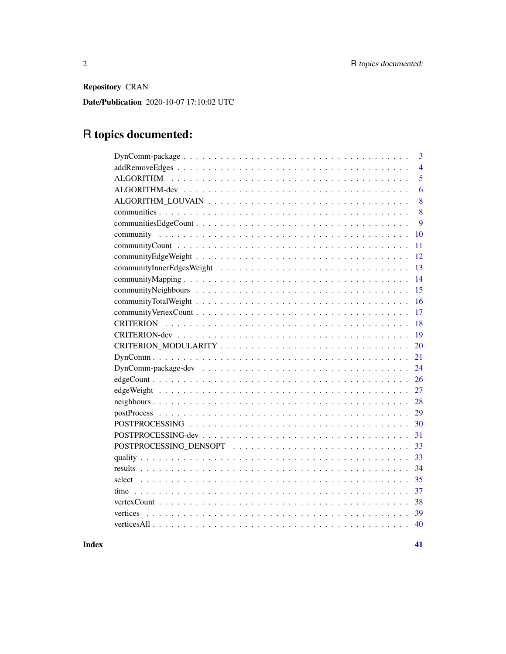Repository CRAN

Date/Publication 2020-10-07 17:10:02 UTC

# R topics documented:

| 3              |
|----------------|
| $\overline{4}$ |
| 5              |
| 6              |
| 8              |
| 8              |
| 9              |
| 10             |
| 11             |
| 12             |
| 13             |
| 14             |
| 15             |
| 16             |
| 17             |
| 18             |
| 19             |
| 20             |
| 21             |
| 24             |
| 26             |
| 27             |
| 28             |
| 29             |
| 30             |
| 31             |
| 33             |
| 33             |
| 34             |
| 35             |
| 37             |
| 38             |
| 39<br>vertices |
| 40             |
|                |

**Index** [41](#page-40-0)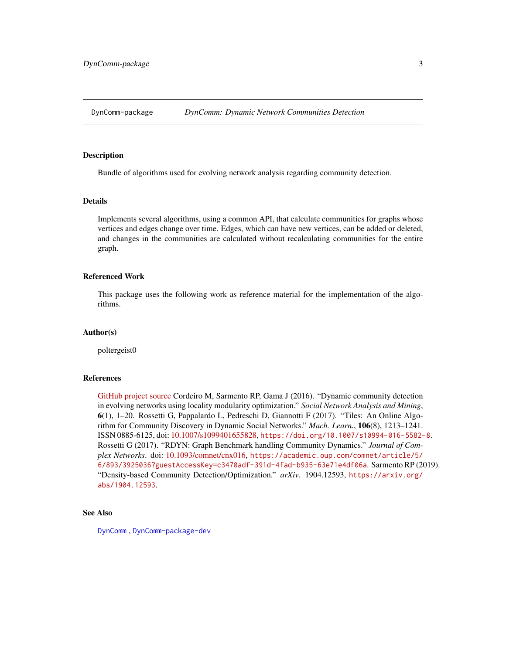<span id="page-2-1"></span><span id="page-2-0"></span>

#### **Description**

Bundle of algorithms used for evolving network analysis regarding community detection.

## Details

Implements several algorithms, using a common API, that calculate communities for graphs whose vertices and edges change over time. Edges, which can have new vertices, can be added or deleted, and changes in the communities are calculated without recalculating communities for the entire graph.

#### Referenced Work

This package uses the following work as reference material for the implementation of the algorithms.

#### Author(s)

poltergeist0

#### References

[GitHub project source](https://github.com/softskillsgroup/DynComm-R-package) Cordeiro M, Sarmento RP, Gama J (2016). "Dynamic community detection in evolving networks using locality modularity optimization." *Social Network Analysis and Mining*, 6(1), 1–20. Rossetti G, Pappalardo L, Pedreschi D, Giannotti F (2017). "Tiles: An Online Algorithm for Community Discovery in Dynamic Social Networks." *Mach. Learn.*, 106(8), 1213–1241. ISSN 0885-6125, doi: [10.1007/s1099401655828,](https://doi.org/10.1007/s10994-016-5582-8) <https://doi.org/10.1007/s10994-016-5582-8>. Rossetti G (2017). "RDYN: Graph Benchmark handling Community Dynamics." *Journal of Complex Networks*. doi: [10.1093/comnet/cnx016,](https://doi.org/10.1093/comnet/cnx016) [https://academic.oup.com/comnet/article/5/](https://academic.oup.com/comnet/article/5/6/893/3925036?guestAccessKey=c3470adf-391d-4fad-b935-63e71e4df06a) [6/893/3925036?guestAccessKey=c3470adf-391d-4fad-b935-63e71e4df06a](https://academic.oup.com/comnet/article/5/6/893/3925036?guestAccessKey=c3470adf-391d-4fad-b935-63e71e4df06a). Sarmento RP (2019). "Density-based Community Detection/Optimization." *arXiv*. 1904.12593, [https://arxiv.org/](https://arxiv.org/abs/1904.12593) [abs/1904.12593](https://arxiv.org/abs/1904.12593).

# See Also

[DynComm](#page-20-1) , [DynComm-package-dev](#page-23-1)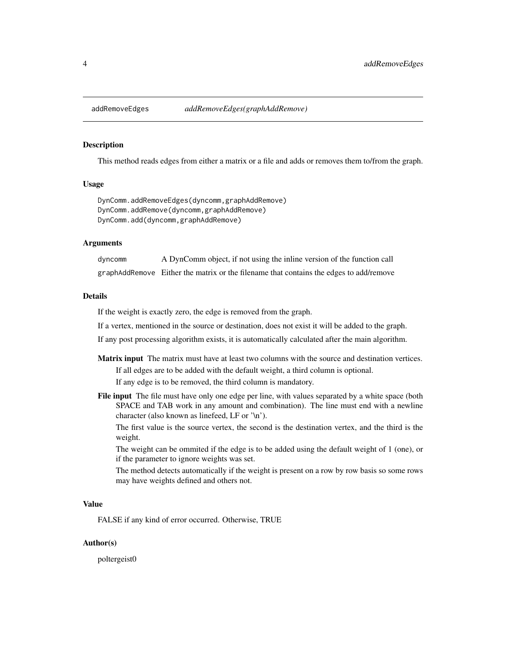<span id="page-3-1"></span><span id="page-3-0"></span>

# Description

This method reads edges from either a matrix or a file and adds or removes them to/from the graph.

#### Usage

DynComm.addRemoveEdges(dyncomm,graphAddRemove) DynComm.addRemove(dyncomm,graphAddRemove) DynComm.add(dyncomm,graphAddRemove)

#### Arguments

dyncomm A DynComm object, if not using the inline version of the function call graphAddRemove Either the matrix or the filename that contains the edges to add/remove

## Details

If the weight is exactly zero, the edge is removed from the graph.

If a vertex, mentioned in the source or destination, does not exist it will be added to the graph.

If any post processing algorithm exists, it is automatically calculated after the main algorithm.

- Matrix input The matrix must have at least two columns with the source and destination vertices. If all edges are to be added with the default weight, a third column is optional. If any edge is to be removed, the third column is mandatory.
- File input The file must have only one edge per line, with values separated by a white space (both SPACE and TAB work in any amount and combination). The line must end with a newline character (also known as linefeed, LF or '\n').

The first value is the source vertex, the second is the destination vertex, and the third is the weight.

The weight can be ommited if the edge is to be added using the default weight of 1 (one), or if the parameter to ignore weights was set.

The method detects automatically if the weight is present on a row by row basis so some rows may have weights defined and others not.

## Value

FALSE if any kind of error occurred. Otherwise, TRUE

### Author(s)

poltergeist0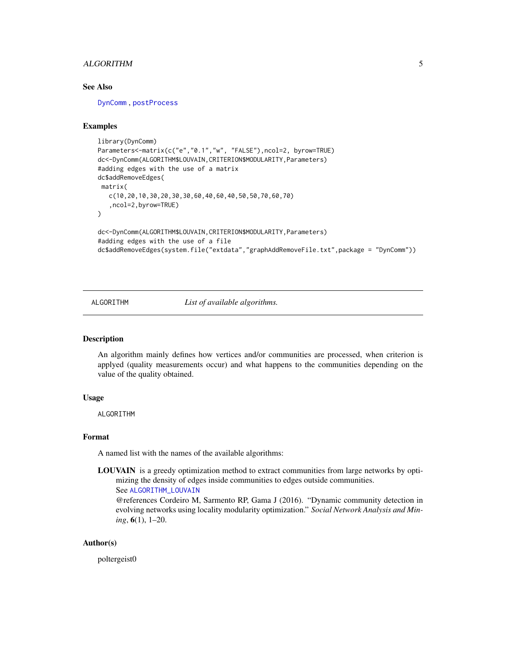# <span id="page-4-0"></span>ALGORITHM 5

# See Also

[DynComm](#page-20-1) , [postProcess](#page-28-1)

#### Examples

```
library(DynComm)
Parameters<-matrix(c("e","0.1","w", "FALSE"),ncol=2, byrow=TRUE)
dc<-DynComm(ALGORITHM$LOUVAIN,CRITERION$MODULARITY,Parameters)
#adding edges with the use of a matrix
dc$addRemoveEdges(
matrix(
   c(10,20,10,30,20,30,30,60,40,60,40,50,50,70,60,70)
   ,ncol=2,byrow=TRUE)
)
dc<-DynComm(ALGORITHM$LOUVAIN,CRITERION$MODULARITY,Parameters)
#adding edges with the use of a file
dc$addRemoveEdges(system.file("extdata","graphAddRemoveFile.txt",package = "DynComm"))
```
<span id="page-4-1"></span>ALGORITHM *List of available algorithms.*

### Description

An algorithm mainly defines how vertices and/or communities are processed, when criterion is applyed (quality measurements occur) and what happens to the communities depending on the value of the quality obtained.

## Usage

ALGORITHM

#### Format

A named list with the names of the available algorithms:

LOUVAIN is a greedy optimization method to extract communities from large networks by optimizing the density of edges inside communities to edges outside communities. See [ALGORITHM\\_LOUVAIN](#page-7-1)

@references Cordeiro M, Sarmento RP, Gama J (2016). "Dynamic community detection in evolving networks using locality modularity optimization." *Social Network Analysis and Mining*, 6(1), 1–20.

### Author(s)

poltergeist0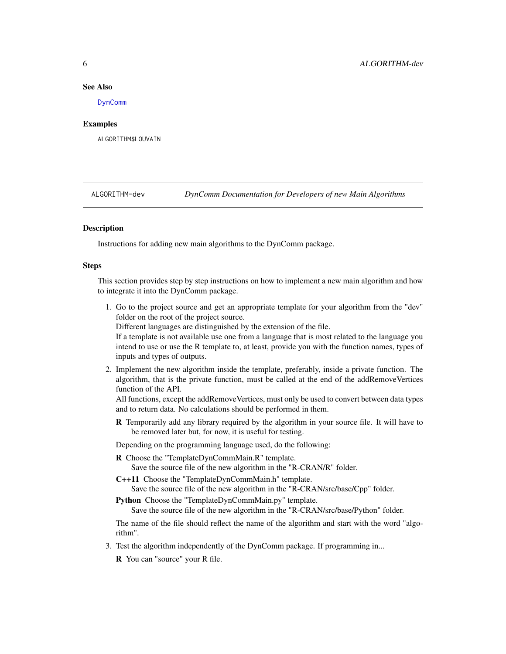#### <span id="page-5-0"></span>See Also

[DynComm](#page-20-1)

## Examples

ALGORITHM\$LOUVAIN

<span id="page-5-1"></span>ALGORITHM-dev *DynComm Documentation for Developers of new Main Algorithms*

## **Description**

Instructions for adding new main algorithms to the DynComm package.

#### Steps

This section provides step by step instructions on how to implement a new main algorithm and how to integrate it into the DynComm package.

1. Go to the project source and get an appropriate template for your algorithm from the "dev" folder on the root of the project source.

Different languages are distinguished by the extension of the file.

If a template is not available use one from a language that is most related to the language you intend to use or use the R template to, at least, provide you with the function names, types of inputs and types of outputs.

2. Implement the new algorithm inside the template, preferably, inside a private function. The algorithm, that is the private function, must be called at the end of the addRemoveVertices function of the API.

All functions, except the addRemoveVertices, must only be used to convert between data types and to return data. No calculations should be performed in them.

R Temporarily add any library required by the algorithm in your source file. It will have to be removed later but, for now, it is useful for testing.

Depending on the programming language used, do the following:

R Choose the "TemplateDynCommMain.R" template.

Save the source file of the new algorithm in the "R-CRAN/R" folder.

C++11 Choose the "TemplateDynCommMain.h" template.

Save the source file of the new algorithm in the "R-CRAN/src/base/Cpp" folder.

Python Choose the "TemplateDynCommMain.py" template.

Save the source file of the new algorithm in the "R-CRAN/src/base/Python" folder.

The name of the file should reflect the name of the algorithm and start with the word "algorithm".

3. Test the algorithm independently of the DynComm package. If programming in...

R You can "source" your R file.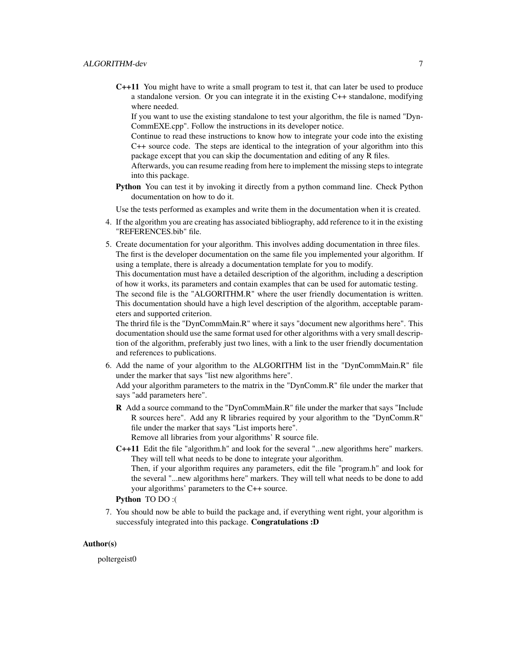C++11 You might have to write a small program to test it, that can later be used to produce a standalone version. Or you can integrate it in the existing C++ standalone, modifying where needed.

If you want to use the existing standalone to test your algorithm, the file is named "Dyn-CommEXE.cpp". Follow the instructions in its developer notice.

Continue to read these instructions to know how to integrate your code into the existing C++ source code. The steps are identical to the integration of your algorithm into this package except that you can skip the documentation and editing of any R files.

Afterwards, you can resume reading from here to implement the missing steps to integrate into this package.

Python You can test it by invoking it directly from a python command line. Check Python documentation on how to do it.

Use the tests performed as examples and write them in the documentation when it is created.

- 4. If the algorithm you are creating has associated bibliography, add reference to it in the existing "REFERENCES.bib" file.
- 5. Create documentation for your algorithm. This involves adding documentation in three files. The first is the developer documentation on the same file you implemented your algorithm. If using a template, there is already a documentation template for you to modify.

This documentation must have a detailed description of the algorithm, including a description of how it works, its parameters and contain examples that can be used for automatic testing. The second file is the "ALGORITHM.R" where the user friendly documentation is written. This documentation should have a high level description of the algorithm, acceptable parameters and supported criterion.

The thrird file is the "DynCommMain.R" where it says "document new algorithms here". This documentation should use the same format used for other algorithms with a very small description of the algorithm, preferably just two lines, with a link to the user friendly documentation and references to publications.

- 6. Add the name of your algorithm to the ALGORITHM list in the "DynCommMain.R" file under the marker that says "list new algorithms here". Add your algorithm parameters to the matrix in the "DynComm.R" file under the marker that says "add parameters here".
	- R Add a source command to the "DynCommMain.R" file under the marker that says "Include R sources here". Add any R libraries required by your algorithm to the "DynComm.R" file under the marker that says "List imports here".

Remove all libraries from your algorithms' R source file.

C++11 Edit the file "algorithm.h" and look for the several "...new algorithms here" markers. They will tell what needs to be done to integrate your algorithm.

Then, if your algorithm requires any parameters, edit the file "program.h" and look for the several "...new algorithms here" markers. They will tell what needs to be done to add your algorithms' parameters to the C++ source.

# Python TO DO :(

7. You should now be able to build the package and, if everything went right, your algorithm is successfuly integrated into this package. Congratulations :D

## Author(s)

poltergeist0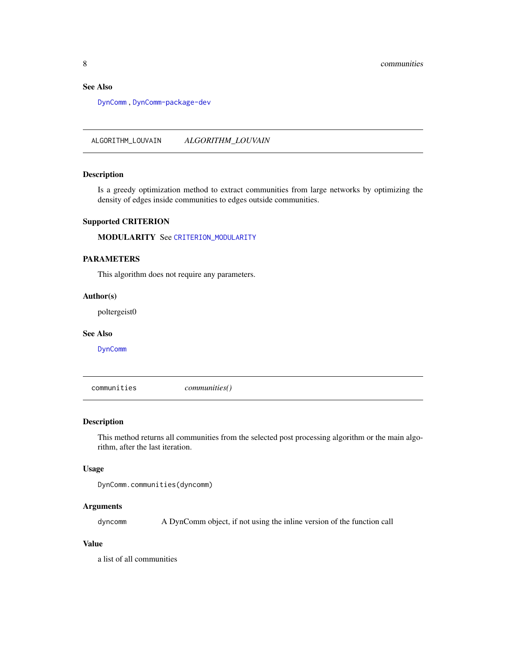# <span id="page-7-0"></span>See Also

[DynComm](#page-20-1) , [DynComm-package-dev](#page-23-1)

<span id="page-7-1"></span>ALGORITHM\_LOUVAIN *ALGORITHM\_LOUVAIN*

## Description

Is a greedy optimization method to extract communities from large networks by optimizing the density of edges inside communities to edges outside communities.

# Supported CRITERION

MODULARITY See [CRITERION\\_MODULARITY](#page-19-1)

# PARAMETERS

This algorithm does not require any parameters.

#### Author(s)

poltergeist0

#### See Also

[DynComm](#page-20-1)

<span id="page-7-2"></span>communities *communities()*

# Description

This method returns all communities from the selected post processing algorithm or the main algorithm, after the last iteration.

# Usage

```
DynComm.communities(dyncomm)
```
# Arguments

dyncomm A DynComm object, if not using the inline version of the function call

## Value

a list of all communities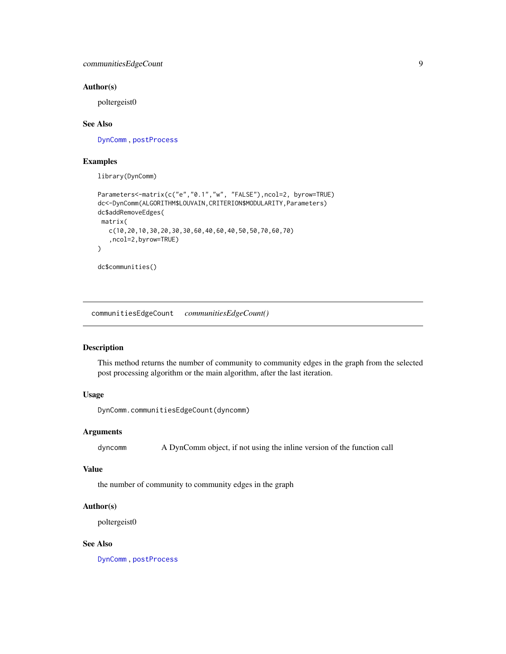#### <span id="page-8-0"></span>Author(s)

poltergeist0

## See Also

[DynComm](#page-20-1) , [postProcess](#page-28-1)

## Examples

library(DynComm)

```
Parameters<-matrix(c("e","0.1","w", "FALSE"),ncol=2, byrow=TRUE)
dc<-DynComm(ALGORITHM$LOUVAIN,CRITERION$MODULARITY,Parameters)
dc$addRemoveEdges(
matrix(
   c(10,20,10,30,20,30,30,60,40,60,40,50,50,70,60,70)
   ,ncol=2,byrow=TRUE)
)
dc$communities()
```
<span id="page-8-1"></span>communitiesEdgeCount *communitiesEdgeCount()*

# Description

This method returns the number of community to community edges in the graph from the selected post processing algorithm or the main algorithm, after the last iteration.

# Usage

DynComm.communitiesEdgeCount(dyncomm)

## Arguments

dyncomm A DynComm object, if not using the inline version of the function call

## Value

the number of community to community edges in the graph

#### Author(s)

poltergeist0

# See Also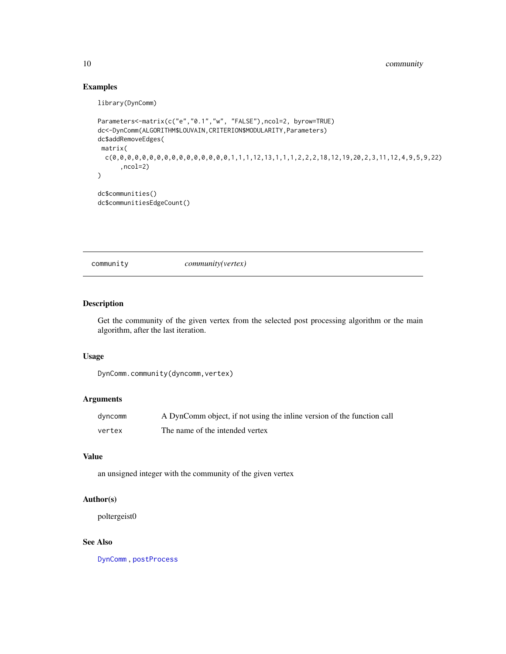# Examples

library(DynComm)

```
Parameters<-matrix(c("e","0.1","w", "FALSE"),ncol=2, byrow=TRUE)
dc<-DynComm(ALGORITHM$LOUVAIN,CRITERION$MODULARITY,Parameters)
dc$addRemoveEdges(
matrix(
 c(0,0,0,0,0,0,0,0,0,0,0,0,0,0,0,0,1,1,1,12,13,1,1,1,2,2,2,18,12,19,20,2,3,11,12,4,9,5,9,22)
      ,ncol=2)
\mathcal{L}dc$communities()
dc$communitiesEdgeCount()
```
<span id="page-9-1"></span>community *community(vertex)*

# Description

Get the community of the given vertex from the selected post processing algorithm or the main algorithm, after the last iteration.

## Usage

```
DynComm.community(dyncomm,vertex)
```
# Arguments

| dyncomm | A DynComm object, if not using the inline version of the function call |
|---------|------------------------------------------------------------------------|
| vertex  | The name of the intended vertex                                        |

## Value

an unsigned integer with the community of the given vertex

# Author(s)

poltergeist0

# See Also

<span id="page-9-0"></span>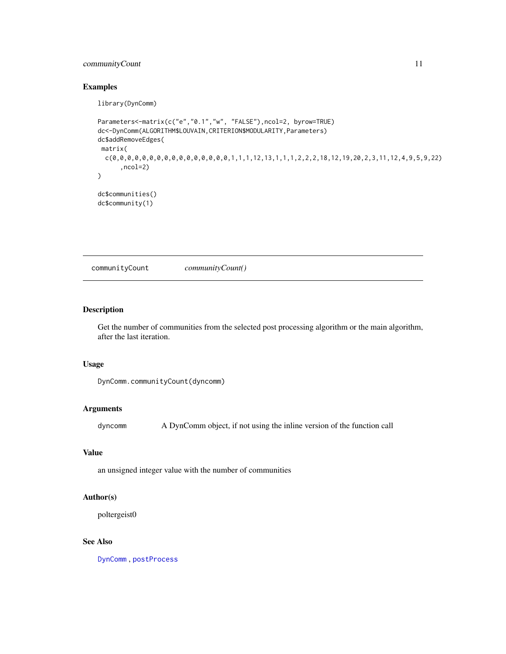# <span id="page-10-0"></span>communityCount 11

# Examples

library(DynComm)

```
Parameters<-matrix(c("e","0.1","w", "FALSE"),ncol=2, byrow=TRUE)
dc<-DynComm(ALGORITHM$LOUVAIN,CRITERION$MODULARITY,Parameters)
dc$addRemoveEdges(
matrix(
 c(0,0,0,0,0,0,0,0,0,0,0,0,0,0,0,0,1,1,1,12,13,1,1,1,2,2,2,18,12,19,20,2,3,11,12,4,9,5,9,22)
      ,ncol=2)
\mathcal{L}dc$communities()
dc$community(1)
```
<span id="page-10-1"></span>communityCount *communityCount()*

# Description

Get the number of communities from the selected post processing algorithm or the main algorithm, after the last iteration.

#### Usage

DynComm.communityCount(dyncomm)

# Arguments

dyncomm A DynComm object, if not using the inline version of the function call

#### Value

an unsigned integer value with the number of communities

#### Author(s)

poltergeist0

# See Also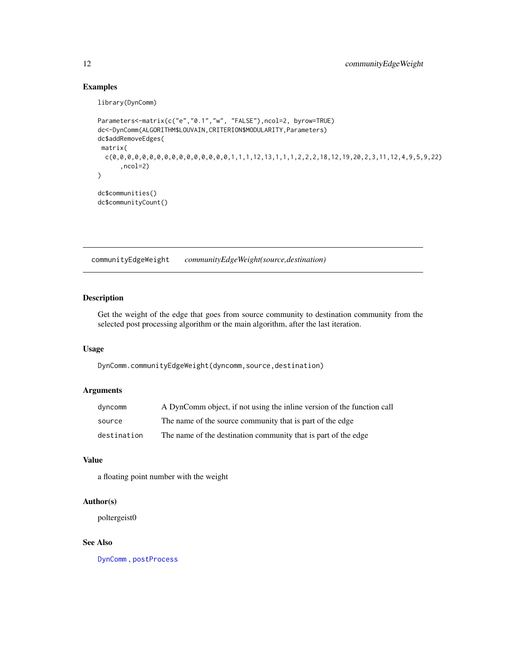# Examples

library(DynComm)

```
Parameters<-matrix(c("e","0.1","w", "FALSE"),ncol=2, byrow=TRUE)
dc<-DynComm(ALGORITHM$LOUVAIN,CRITERION$MODULARITY,Parameters)
dc$addRemoveEdges(
 matrix(
  c(0,0,0,0,0,0,0,0,0,0,0,0,0,0,0,0,0,0,1,1,1,1,2,13,1,1,1,2,2,2,18,12,19,20,2,3,11,12,4,9,5,9,22),ncol=2)
)
dc$communities()
dc$communityCount()
```
<span id="page-11-1"></span>communityEdgeWeight *communityEdgeWeight(source,destination)*

# Description

Get the weight of the edge that goes from source community to destination community from the selected post processing algorithm or the main algorithm, after the last iteration.

# Usage

DynComm.communityEdgeWeight(dyncomm,source,destination)

# Arguments

| dyncomm     | A DynComm object, if not using the inline version of the function call |
|-------------|------------------------------------------------------------------------|
| source      | The name of the source community that is part of the edge              |
| destination | The name of the destination community that is part of the edge         |

## Value

a floating point number with the weight

#### Author(s)

poltergeist0

### See Also

<span id="page-11-0"></span>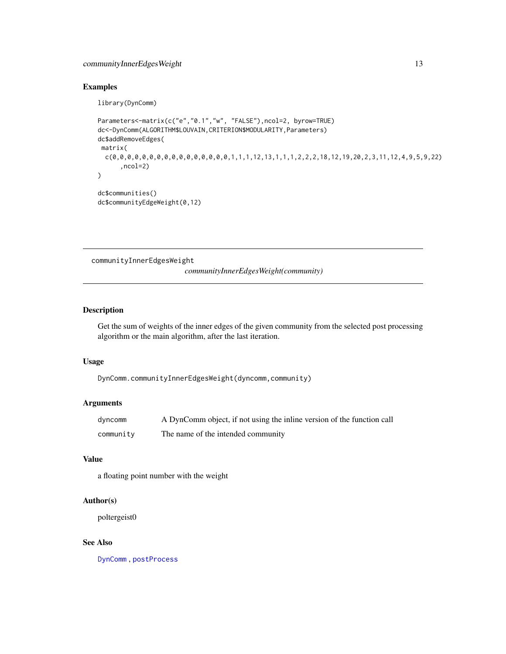# <span id="page-12-0"></span>communityInnerEdgesWeight 13

# Examples

library(DynComm)

```
Parameters<-matrix(c("e","0.1","w", "FALSE"),ncol=2, byrow=TRUE)
dc<-DynComm(ALGORITHM$LOUVAIN,CRITERION$MODULARITY,Parameters)
dc$addRemoveEdges(
 matrix(
  c(0,0,0,0,0,0,0,0,0,0,0,0,0,0,0,0,0,0,1,1,1,1,2,13,1,1,1,2,2,2,18,12,19,20,2,3,11,12,4,9,5,9,22),ncol=2)
)
dc$communities()
dc$communityEdgeWeight(0,12)
```
<span id="page-12-1"></span>communityInnerEdgesWeight

*communityInnerEdgesWeight(community)*

## Description

Get the sum of weights of the inner edges of the given community from the selected post processing algorithm or the main algorithm, after the last iteration.

#### Usage

DynComm.communityInnerEdgesWeight(dyncomm,community)

## Arguments

| dyncomm   | A DynComm object, if not using the inline version of the function call |
|-----------|------------------------------------------------------------------------|
| community | The name of the intended community                                     |

# Value

a floating point number with the weight

#### Author(s)

poltergeist0

#### See Also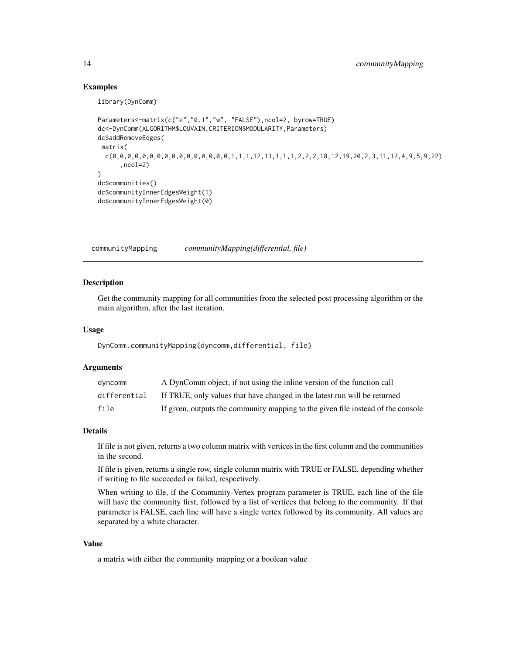## Examples

library(DynComm)

```
Parameters<-matrix(c("e","0.1","w", "FALSE"),ncol=2, byrow=TRUE)
dc<-DynComm(ALGORITHM$LOUVAIN,CRITERION$MODULARITY,Parameters)
dc$addRemoveEdges(
matrix(
 c(0,0,0,0,0,0,0,0,0,0,0,0,0,0,0,0,1,1,1,12,13,1,1,1,2,2,2,18,12,19,20,2,3,11,12,4,9,5,9,22)
      ,ncol=2)
)
dc$communities()
dc$communityInnerEdgesWeight(1)
dc$communityInnerEdgesWeight(0)
```
<span id="page-13-1"></span>communityMapping *communityMapping(differential, file)*

#### Description

Get the community mapping for all communities from the selected post processing algorithm or the main algorithm, after the last iteration.

## Usage

DynComm.communityMapping(dyncomm,differential, file)

## Arguments

| dvncomm      | A DynComm object, if not using the inline version of the function call           |
|--------------|----------------------------------------------------------------------------------|
| differential | If TRUE, only values that have changed in the latest run will be returned        |
| file         | If given, outputs the community mapping to the given file instead of the console |

#### Details

If file is not given, returns a two column matrix with vertices in the first column and the communities in the second.

If file is given, returns a single row, single column matrix with TRUE or FALSE, depending whether if writing to file succeeded or failed, respectively.

When writing to file, if the Community-Vertex program parameter is TRUE, each line of the file will have the community first, followed by a list of vertices that belong to the community. If that parameter is FALSE, each line will have a single vertex followed by its community. All values are separated by a white character.

#### Value

a matrix with either the community mapping or a boolean value

<span id="page-13-0"></span>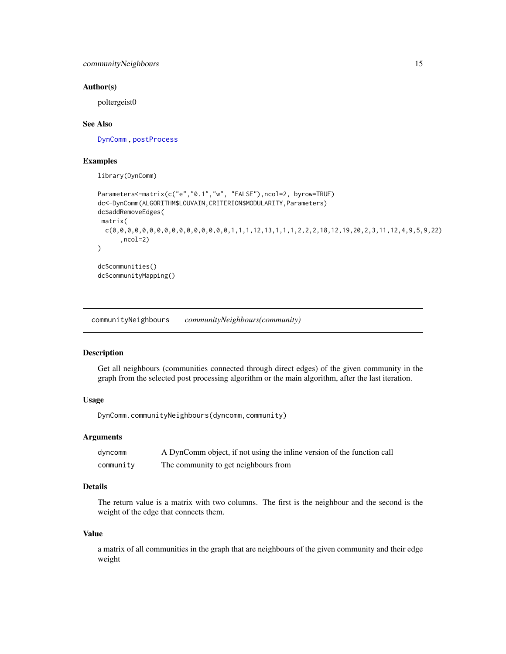## <span id="page-14-0"></span>Author(s)

poltergeist0

## See Also

[DynComm](#page-20-1) , [postProcess](#page-28-1)

## Examples

library(DynComm)

```
Parameters<-matrix(c("e","0.1","w", "FALSE"),ncol=2, byrow=TRUE)
dc<-DynComm(ALGORITHM$LOUVAIN,CRITERION$MODULARITY,Parameters)
dc$addRemoveEdges(
matrix(
 c(0,0,0,0,0,0,0,0,0,0,0,0,0,0,0,0,1,1,1,12,13,1,1,1,2,2,2,18,12,19,20,2,3,11,12,4,9,5,9,22)
      ,ncol=2)
)
dc$communities()
dc$communityMapping()
```
<span id="page-14-1"></span>communityNeighbours *communityNeighbours(community)*

#### Description

Get all neighbours (communities connected through direct edges) of the given community in the graph from the selected post processing algorithm or the main algorithm, after the last iteration.

# Usage

DynComm.communityNeighbours(dyncomm,community)

#### Arguments

| dyncomm   | A DynComm object, if not using the inline version of the function call |
|-----------|------------------------------------------------------------------------|
| community | The community to get neighbours from                                   |

# Details

The return value is a matrix with two columns. The first is the neighbour and the second is the weight of the edge that connects them.

#### Value

a matrix of all communities in the graph that are neighbours of the given community and their edge weight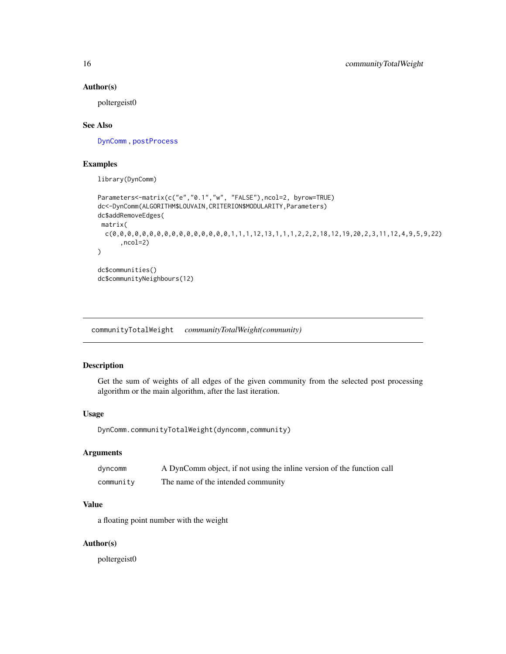#### Author(s)

poltergeist0

## See Also

[DynComm](#page-20-1) , [postProcess](#page-28-1)

# Examples

library(DynComm)

```
Parameters<-matrix(c("e","0.1","w", "FALSE"),ncol=2, byrow=TRUE)
dc<-DynComm(ALGORITHM$LOUVAIN,CRITERION$MODULARITY,Parameters)
dc$addRemoveEdges(
matrix(
  c(0,0,0,0,0,0,0,0,0,0,0,0,0,0,0,0,1,1,1,12,13,1,1,1,2,2,2,18,12,19,20,2,3,11,12,4,9,5,9,22)
      ,ncol=2)
\mathcal{L}dc$communities()
dc$communityNeighbours(12)
```
<span id="page-15-1"></span>communityTotalWeight *communityTotalWeight(community)*

# Description

Get the sum of weights of all edges of the given community from the selected post processing algorithm or the main algorithm, after the last iteration.

#### Usage

DynComm.communityTotalWeight(dyncomm,community)

## Arguments

| dyncomm   | A DynComm object, if not using the inline version of the function call |
|-----------|------------------------------------------------------------------------|
| community | The name of the intended community                                     |

# Value

a floating point number with the weight

## Author(s)

poltergeist0

<span id="page-15-0"></span>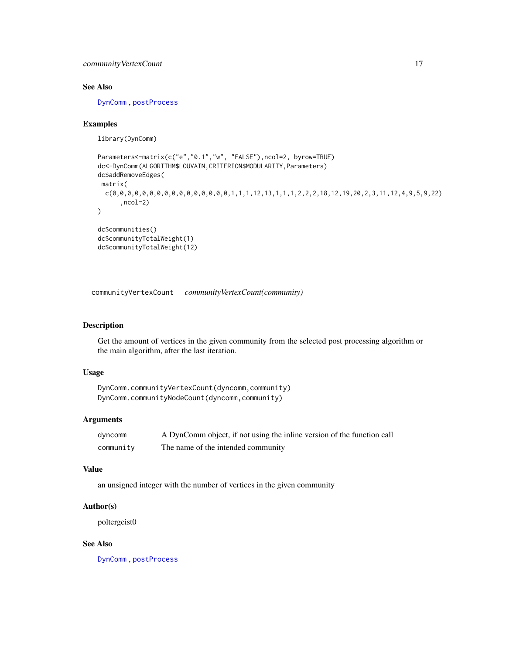# <span id="page-16-0"></span>communityVertexCount 17

# See Also

[DynComm](#page-20-1) , [postProcess](#page-28-1)

#### Examples

library(DynComm)

```
Parameters<-matrix(c("e","0.1","w", "FALSE"),ncol=2, byrow=TRUE)
dc<-DynComm(ALGORITHM$LOUVAIN,CRITERION$MODULARITY,Parameters)
dc$addRemoveEdges(
matrix(
 c(0,0,0,0,0,0,0,0,0,0,0,0,0,0,0,0,1,1,1,12,13,1,1,1,2,2,2,18,12,19,20,2,3,11,12,4,9,5,9,22)
      ,ncol=2)
)
dc$communities()
dc$communityTotalWeight(1)
dc$communityTotalWeight(12)
```
<span id="page-16-1"></span>communityVertexCount *communityVertexCount(community)*

#### Description

Get the amount of vertices in the given community from the selected post processing algorithm or the main algorithm, after the last iteration.

## Usage

```
DynComm.communityVertexCount(dyncomm,community)
DynComm.communityNodeCount(dyncomm,community)
```
#### Arguments

| dyncomm   | A DynComm object, if not using the inline version of the function call |
|-----------|------------------------------------------------------------------------|
| community | The name of the intended community                                     |

## Value

an unsigned integer with the number of vertices in the given community

#### Author(s)

poltergeist0

# See Also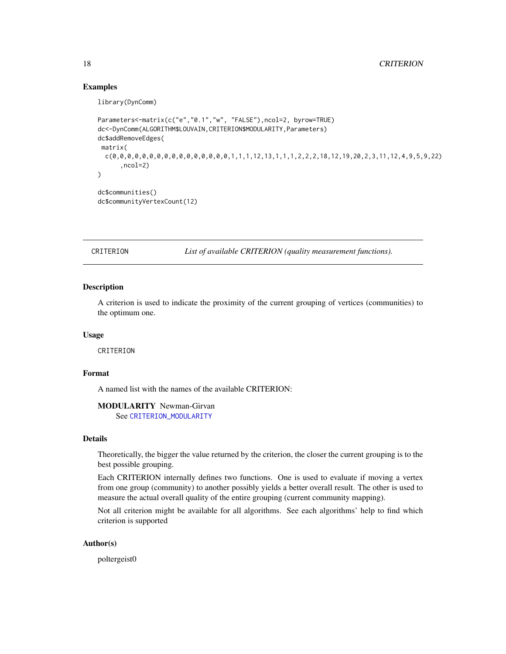## Examples

library(DynComm)

```
Parameters<-matrix(c("e","0.1","w", "FALSE"),ncol=2, byrow=TRUE)
dc<-DynComm(ALGORITHM$LOUVAIN,CRITERION$MODULARITY,Parameters)
dc$addRemoveEdges(
matrix(
 c(0,0,0,0,0,0,0,0,0,0,0,0,0,0,0,0,0,0,1,1,1,12,13,1,1,1,2,2,2,18,12,19,20,2,3,11,12,4,9,5,9,22),ncol=2)
)
dc$communities()
dc$communityVertexCount(12)
```
<span id="page-17-1"></span>CRITERION *List of available CRITERION (quality measurement functions).*

## Description

A criterion is used to indicate the proximity of the current grouping of vertices (communities) to the optimum one.

#### Usage

CRITERION

# Format

A named list with the names of the available CRITERION:

MODULARITY Newman-Girvan

See [CRITERION\\_MODULARITY](#page-19-1)

## Details

Theoretically, the bigger the value returned by the criterion, the closer the current grouping is to the best possible grouping.

Each CRITERION internally defines two functions. One is used to evaluate if moving a vertex from one group (community) to another possibly yields a better overall result. The other is used to measure the actual overall quality of the entire grouping (current community mapping).

Not all criterion might be available for all algorithms. See each algorithms' help to find which criterion is supported

## Author(s)

poltergeist0

<span id="page-17-0"></span>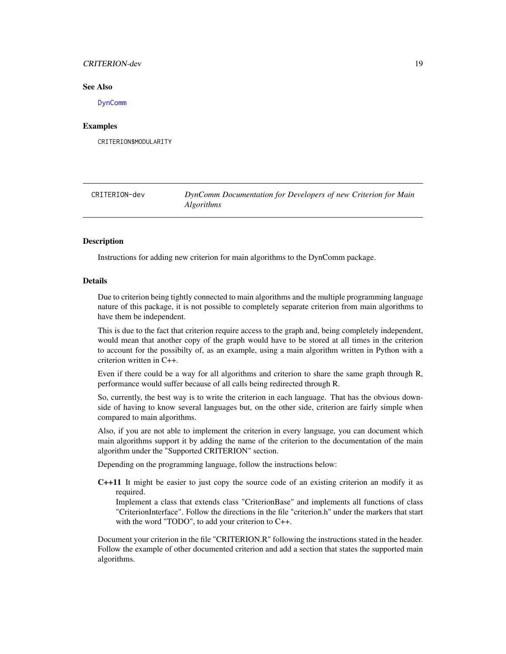## <span id="page-18-0"></span>CRITERION-dev 19

#### See Also

[DynComm](#page-20-1)

## Examples

CRITERION\$MODULARITY

<span id="page-18-1"></span>CRITERION-dev *DynComm Documentation for Developers of new Criterion for Main Algorithms*

## Description

Instructions for adding new criterion for main algorithms to the DynComm package.

#### Details

Due to criterion being tightly connected to main algorithms and the multiple programming language nature of this package, it is not possible to completely separate criterion from main algorithms to have them be independent.

This is due to the fact that criterion require access to the graph and, being completely independent, would mean that another copy of the graph would have to be stored at all times in the criterion to account for the possibilty of, as an example, using a main algorithm written in Python with a criterion written in C++.

Even if there could be a way for all algorithms and criterion to share the same graph through R, performance would suffer because of all calls being redirected through R.

So, currently, the best way is to write the criterion in each language. That has the obvious downside of having to know several languages but, on the other side, criterion are fairly simple when compared to main algorithms.

Also, if you are not able to implement the criterion in every language, you can document which main algorithms support it by adding the name of the criterion to the documentation of the main algorithm under the "Supported CRITERION" section.

Depending on the programming language, follow the instructions below:

C++11 It might be easier to just copy the source code of an existing criterion an modify it as required.

Implement a class that extends class "CriterionBase" and implements all functions of class "CriterionInterface". Follow the directions in the file "criterion.h" under the markers that start with the word "TODO", to add your criterion to C++.

Document your criterion in the file "CRITERION.R" following the instructions stated in the header. Follow the example of other documented criterion and add a section that states the supported main algorithms.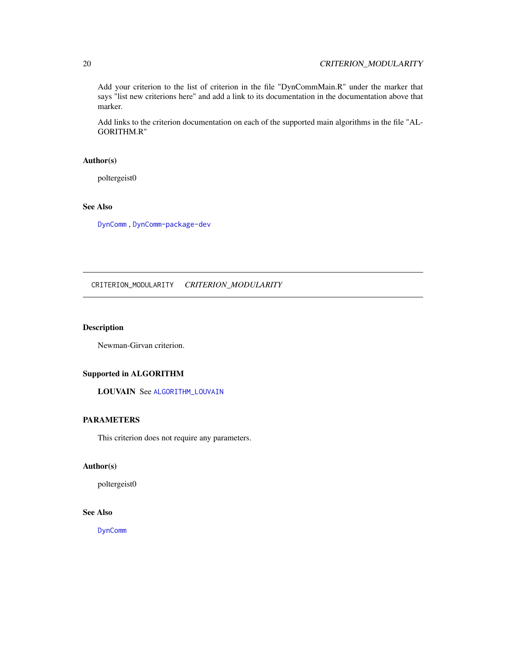Add your criterion to the list of criterion in the file "DynCommMain.R" under the marker that says "list new criterions here" and add a link to its documentation in the documentation above that marker.

Add links to the criterion documentation on each of the supported main algorithms in the file "AL-GORITHM.R"

# Author(s)

poltergeist0

# See Also

[DynComm](#page-20-1) , [DynComm-package-dev](#page-23-1)

<span id="page-19-1"></span>CRITERION\_MODULARITY *CRITERION\_MODULARITY*

# Description

Newman-Girvan criterion.

## Supported in ALGORITHM

LOUVAIN See [ALGORITHM\\_LOUVAIN](#page-7-1)

# PARAMETERS

This criterion does not require any parameters.

#### Author(s)

poltergeist0

# See Also

[DynComm](#page-20-1)

<span id="page-19-0"></span>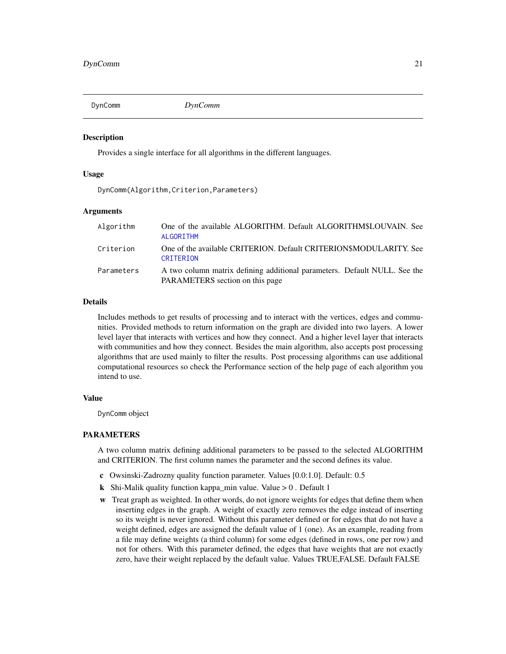<span id="page-20-1"></span><span id="page-20-0"></span>

#### **Description**

Provides a single interface for all algorithms in the different languages.

#### Usage

DynComm(Algorithm,Criterion,Parameters)

#### Arguments

| Algorithm  | One of the available ALGORITHM. Default ALGORITHM\$LOUVAIN. See<br>ALGORITHM                                 |
|------------|--------------------------------------------------------------------------------------------------------------|
| Criterion  | One of the available CRITERION. Default CRITERION\$MODULARITY. See<br>CRITERION                              |
| Parameters | A two column matrix defining additional parameters. Default NULL. See the<br>PARAMETERS section on this page |

# **Details**

Includes methods to get results of processing and to interact with the vertices, edges and communities. Provided methods to return information on the graph are divided into two layers. A lower level layer that interacts with vertices and how they connect. And a higher level layer that interacts with communities and how they connect. Besides the main algorithm, also accepts post processing algorithms that are used mainly to filter the results. Post processing algorithms can use additional computational resources so check the Performance section of the help page of each algorithm you intend to use.

## Value

DynComm object

## PARAMETERS

A two column matrix defining additional parameters to be passed to the selected ALGORITHM and CRITERION. The first column names the parameter and the second defines its value.

- c Owsinski-Zadrozny quality function parameter. Values [0.0:1.0]. Default: 0.5
- k Shi-Malik quality function kappa\_min value. Value  $> 0$ . Default 1
- w Treat graph as weighted. In other words, do not ignore weights for edges that define them when inserting edges in the graph. A weight of exactly zero removes the edge instead of inserting so its weight is never ignored. Without this parameter defined or for edges that do not have a weight defined, edges are assigned the default value of 1 (one). As an example, reading from a file may define weights (a third column) for some edges (defined in rows, one per row) and not for others. With this parameter defined, the edges that have weights that are not exactly zero, have their weight replaced by the default value. Values TRUE,FALSE. Default FALSE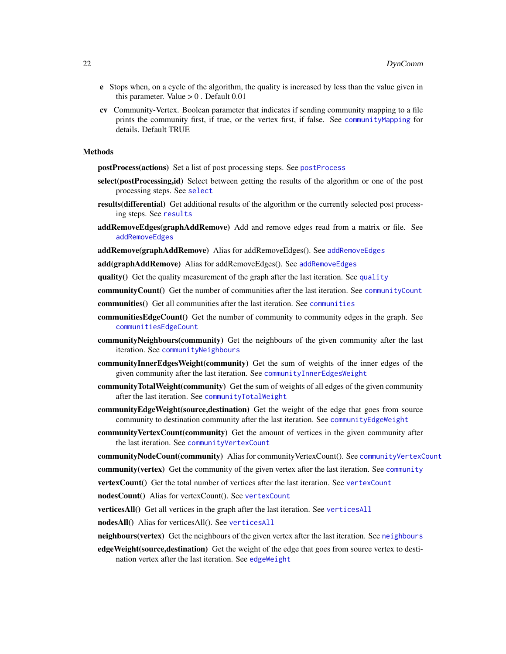- <span id="page-21-0"></span>e Stops when, on a cycle of the algorithm, the quality is increased by less than the value given in this parameter. Value  $> 0$ . Default  $0.01$
- cv Community-Vertex. Boolean parameter that indicates if sending community mapping to a file prints the community first, if true, or the vertex first, if false. See [communityMapping](#page-13-1) for details. Default TRUE

#### Methods

postProcess(actions) Set a list of post processing steps. See [postProcess](#page-28-1)

- select(postProcessing,id) Select between getting the results of the algorithm or one of the post processing steps. See [select](#page-34-1)
- results(differential) Get additional results of the algorithm or the currently selected post processing steps. See [results](#page-33-1)
- addRemoveEdges(graphAddRemove) Add and remove edges read from a matrix or file. See [addRemoveEdges](#page-3-1)

addRemove(graphAddRemove) Alias for [addRemoveEdges](#page-3-1)(). See addRemoveEdges

add(graphAddRemove) Alias for [addRemoveEdges](#page-3-1)(). See addRemoveEdges

[quality](#page-32-1)() Get the quality measurement of the graph after the last iteration. See quality

communityCount() Get the number of communities after the last iteration. See [communityCount](#page-10-1)

communities() Get all communities after the last iteration. See [communities](#page-7-2)

- **communitiesEdgeCount**() Get the number of community to community edges in the graph. See [communitiesEdgeCount](#page-8-1)
- communityNeighbours(community) Get the neighbours of the given community after the last iteration. See [communityNeighbours](#page-14-1)
- communityInnerEdgesWeight(community) Get the sum of weights of the inner edges of the given community after the last iteration. See [communityInnerEdgesWeight](#page-12-1)
- communityTotalWeight(community) Get the sum of weights of all edges of the given community after the last iteration. See [communityTotalWeight](#page-15-1)
- communityEdgeWeight(source,destination) Get the weight of the edge that goes from source community to destination community after the last iteration. See [communityEdgeWeight](#page-11-1)
- community VertexCount(community) Get the amount of vertices in the given community after the last iteration. See [communityVertexCount](#page-16-1)

communityNodeCount(community) Alias for communityVertexCount(). See [communityVertexCount](#page-16-1)

**[community](#page-9-1)(vertex)** Get the community of the given vertex after the last iteration. See community

**[vertexCount](#page-37-1)**() Get the total number of vertices after the last iteration. See vertexCount

nodesCount() Alias for vertexCount(). See [vertexCount](#page-37-1)

verticesAll() Get all vertices in the graph after the last iteration. See [verticesAll](#page-39-1)

nodesAll() Alias for verticesAll(). See [verticesAll](#page-39-1)

- [neighbours](#page-27-1)(vertex) Get the neighbours of the given vertex after the last iteration. See neighbours
- edgeWeight(source,destination) Get the weight of the edge that goes from source vertex to destination vertex after the last iteration. See [edgeWeight](#page-26-1)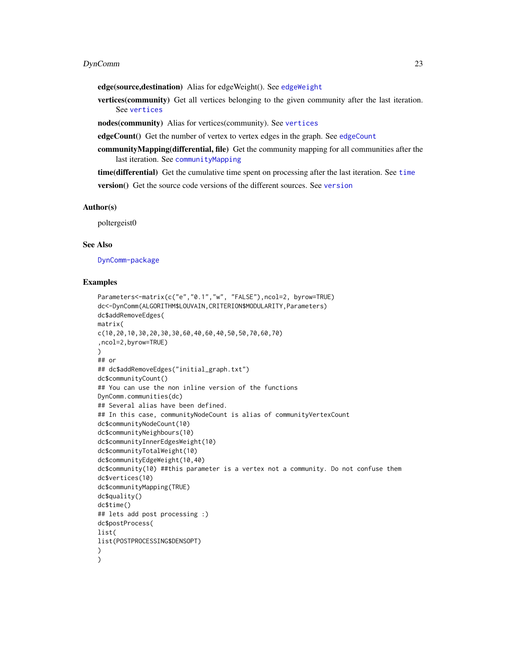#### <span id="page-22-0"></span>DynComm 23

edge(source,destination) Alias for edgeWeight(). See [edgeWeight](#page-26-1)

vertices(community) Get all vertices belonging to the given community after the last iteration. See [vertices](#page-38-1)

nodes(community) Alias for vertices(community). See [vertices](#page-38-1)

[edgeCount](#page-25-1)() Get the number of vertex to vertex edges in the graph. See edgeCount

communityMapping(differential, file) Get the community mapping for all communities after the last iteration. See [communityMapping](#page-13-1)

time(differential) Get the cumulative time spent on processing after the last iteration. See [time](#page-36-1)

version() Get the source code versions of the different sources. See [version](#page-0-0)

## Author(s)

poltergeist0

# See Also

[DynComm-package](#page-2-1)

#### Examples

```
Parameters<-matrix(c("e","0.1","w", "FALSE"),ncol=2, byrow=TRUE)
dc<-DynComm(ALGORITHM$LOUVAIN,CRITERION$MODULARITY,Parameters)
dc$addRemoveEdges(
matrix(
c(10,20,10,30,20,30,30,60,40,60,40,50,50,70,60,70)
,ncol=2,byrow=TRUE)
)
## or
## dc$addRemoveEdges("initial_graph.txt")
dc$communityCount()
## You can use the non inline version of the functions
DynComm.communities(dc)
## Several alias have been defined.
## In this case, communityNodeCount is alias of communityVertexCount
dc$communityNodeCount(10)
dc$communityNeighbours(10)
dc$communityInnerEdgesWeight(10)
dc$communityTotalWeight(10)
dc$communityEdgeWeight(10,40)
dc$community(10) ##this parameter is a vertex not a community. Do not confuse them
dc$vertices(10)
dc$communityMapping(TRUE)
dc$quality()
dc$time()
## lets add post processing :)
dc$postProcess(
list(
list(POSTPROCESSING$DENSOPT)
)
)
```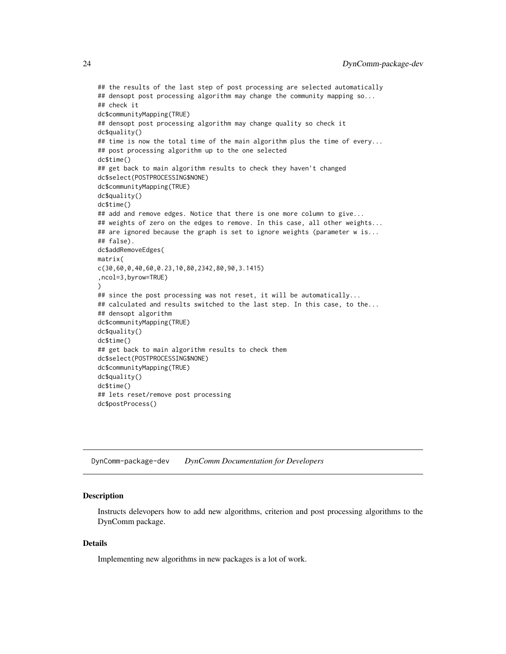```
## the results of the last step of post processing are selected automatically
## densopt post processing algorithm may change the community mapping so...
## check it
dc$communityMapping(TRUE)
## densopt post processing algorithm may change quality so check it
dc$quality()
## time is now the total time of the main algorithm plus the time of every...
## post processing algorithm up to the one selected
dc$time()
## get back to main algorithm results to check they haven't changed
dc$select(POSTPROCESSING$NONE)
dc$communityMapping(TRUE)
dc$quality()
dc$time()
## add and remove edges. Notice that there is one more column to give...
## weights of zero on the edges to remove. In this case, all other weights...
## are ignored because the graph is set to ignore weights (parameter w is...
## false).
dc$addRemoveEdges(
matrix(
c(30,60,0,40,60,0.23,10,80,2342,80,90,3.1415)
,ncol=3,byrow=TRUE)
\lambda## since the post processing was not reset, it will be automatically...
## calculated and results switched to the last step. In this case, to the...
## densopt algorithm
dc$communityMapping(TRUE)
dc$quality()
dc$time()
## get back to main algorithm results to check them
dc$select(POSTPROCESSING$NONE)
dc$communityMapping(TRUE)
dc$quality()
dc$time()
## lets reset/remove post processing
dc$postProcess()
```
<span id="page-23-1"></span>DynComm-package-dev *DynComm Documentation for Developers*

#### Description

Instructs delevopers how to add new algorithms, criterion and post processing algorithms to the DynComm package.

## Details

Implementing new algorithms in new packages is a lot of work.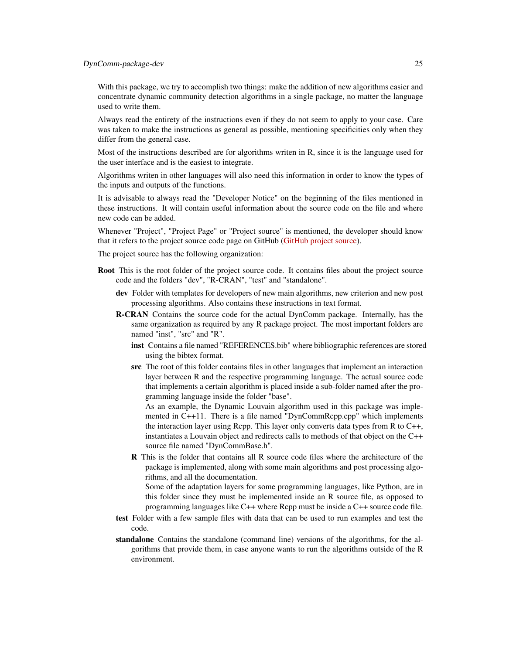## DynComm-package-dev 25

With this package, we try to accomplish two things: make the addition of new algorithms easier and concentrate dynamic community detection algorithms in a single package, no matter the language used to write them.

Always read the entirety of the instructions even if they do not seem to apply to your case. Care was taken to make the instructions as general as possible, mentioning specificities only when they differ from the general case.

Most of the instructions described are for algorithms writen in R, since it is the language used for the user interface and is the easiest to integrate.

Algorithms writen in other languages will also need this information in order to know the types of the inputs and outputs of the functions.

It is advisable to always read the "Developer Notice" on the beginning of the files mentioned in these instructions. It will contain useful information about the source code on the file and where new code can be added.

Whenever "Project", "Project Page" or "Project source" is mentioned, the developer should know that it refers to the project source code page on GitHub [\(GitHub project source\)](https://github.com/softskillsgroup/DynComm-R-package).

The project source has the following organization:

- Root This is the root folder of the project source code. It contains files about the project source code and the folders "dev", "R-CRAN", "test" and "standalone".
	- dev Folder with templates for developers of new main algorithms, new criterion and new post processing algorithms. Also contains these instructions in text format.
	- R-CRAN Contains the source code for the actual DynComm package. Internally, has the same organization as required by any R package project. The most important folders are named "inst", "src" and "R".
		- inst Contains a file named "REFERENCES.bib" where bibliographic references are stored using the bibtex format.
		- src The root of this folder contains files in other languages that implement an interaction layer between R and the respective programming language. The actual source code that implements a certain algorithm is placed inside a sub-folder named after the programming language inside the folder "base".

As an example, the Dynamic Louvain algorithm used in this package was implemented in C++11. There is a file named "DynCommRcpp.cpp" which implements the interaction layer using Rcpp. This layer only converts data types from R to C++, instantiates a Louvain object and redirects calls to methods of that object on the C++ source file named "DynCommBase.h".

R This is the folder that contains all R source code files where the architecture of the package is implemented, along with some main algorithms and post processing algorithms, and all the documentation.

Some of the adaptation layers for some programming languages, like Python, are in this folder since they must be implemented inside an R source file, as opposed to programming languages like C++ where Rcpp must be inside a C++ source code file.

- test Folder with a few sample files with data that can be used to run examples and test the code.
- standalone Contains the standalone (command line) versions of the algorithms, for the algorithms that provide them, in case anyone wants to run the algorithms outside of the R environment.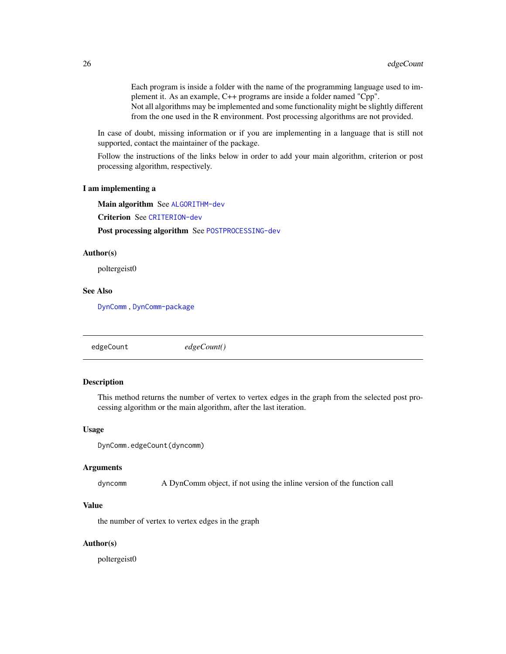<span id="page-25-0"></span>Each program is inside a folder with the name of the programming language used to implement it. As an example, C++ programs are inside a folder named "Cpp". Not all algorithms may be implemented and some functionality might be slightly different from the one used in the R environment. Post processing algorithms are not provided.

In case of doubt, missing information or if you are implementing in a language that is still not supported, contact the maintainer of the package.

Follow the instructions of the links below in order to add your main algorithm, criterion or post processing algorithm, respectively.

#### I am implementing a

Main algorithm See [ALGORITHM-dev](#page-5-1)

Criterion See [CRITERION-dev](#page-18-1)

Post processing algorithm See [POSTPROCESSING-dev](#page-30-1)

## Author(s)

poltergeist0

# See Also

[DynComm](#page-20-1) , [DynComm-package](#page-2-1)

<span id="page-25-1"></span>edgeCount *edgeCount()*

## Description

This method returns the number of vertex to vertex edges in the graph from the selected post processing algorithm or the main algorithm, after the last iteration.

#### Usage

DynComm.edgeCount(dyncomm)

## Arguments

dyncomm A DynComm object, if not using the inline version of the function call

#### Value

the number of vertex to vertex edges in the graph

## Author(s)

poltergeist0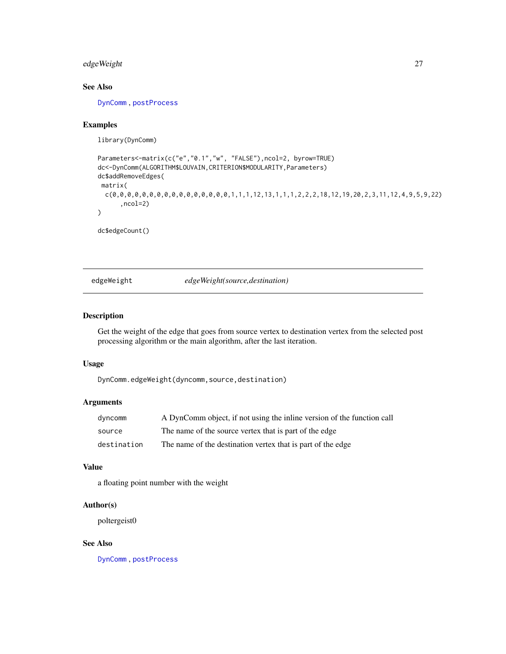# <span id="page-26-0"></span>edgeWeight 27

# See Also

[DynComm](#page-20-1) , [postProcess](#page-28-1)

# Examples

library(DynComm)

```
Parameters<-matrix(c("e","0.1","w", "FALSE"),ncol=2, byrow=TRUE)
dc<-DynComm(ALGORITHM$LOUVAIN,CRITERION$MODULARITY,Parameters)
dc$addRemoveEdges(
matrix(
  c(0,0,0,0,0,0,0,0,0,0,0,0,0,0,0,0,0,0,1,1,1,12,13,1,1,1,2,2,2,18,12,19,20,2,3,11,12,4,9,5,9,22),ncol=2)
\mathcal{L}
```
dc\$edgeCount()

<span id="page-26-1"></span>edgeWeight *edgeWeight(source,destination)*

## Description

Get the weight of the edge that goes from source vertex to destination vertex from the selected post processing algorithm or the main algorithm, after the last iteration.

## Usage

DynComm.edgeWeight(dyncomm,source,destination)

# Arguments

| dyncomm     | A DynComm object, if not using the inline version of the function call |
|-------------|------------------------------------------------------------------------|
| source      | The name of the source vertex that is part of the edge                 |
| destination | The name of the destination vertex that is part of the edge            |

#### Value

a floating point number with the weight

## Author(s)

poltergeist0

# See Also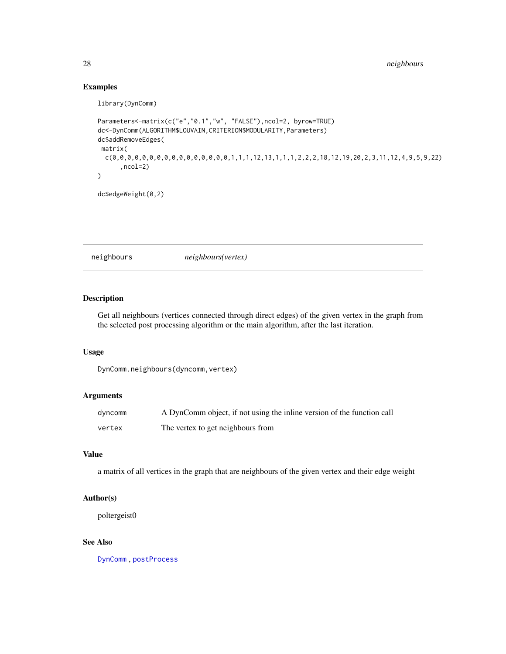# Examples

library(DynComm)

```
Parameters<-matrix(c("e","0.1","w", "FALSE"),ncol=2, byrow=TRUE)
dc<-DynComm(ALGORITHM$LOUVAIN,CRITERION$MODULARITY,Parameters)
dc$addRemoveEdges(
matrix(
 c(0,0,0,0,0,0,0,0,0,0,0,0,0,0,0,0,1,1,1,12,13,1,1,1,2,2,2,18,12,19,20,2,3,11,12,4,9,5,9,22)
      ,ncol=2)
)
```
dc\$edgeWeight(0,2)

<span id="page-27-1"></span>neighbours *neighbours(vertex)*

## Description

Get all neighbours (vertices connected through direct edges) of the given vertex in the graph from the selected post processing algorithm or the main algorithm, after the last iteration.

# Usage

DynComm.neighbours(dyncomm,vertex)

# Arguments

| dyncomm | A DynComm object, if not using the inline version of the function call |
|---------|------------------------------------------------------------------------|
| vertex  | The vertex to get neighbours from                                      |

# Value

a matrix of all vertices in the graph that are neighbours of the given vertex and their edge weight

## Author(s)

poltergeist0

## See Also

<span id="page-27-0"></span>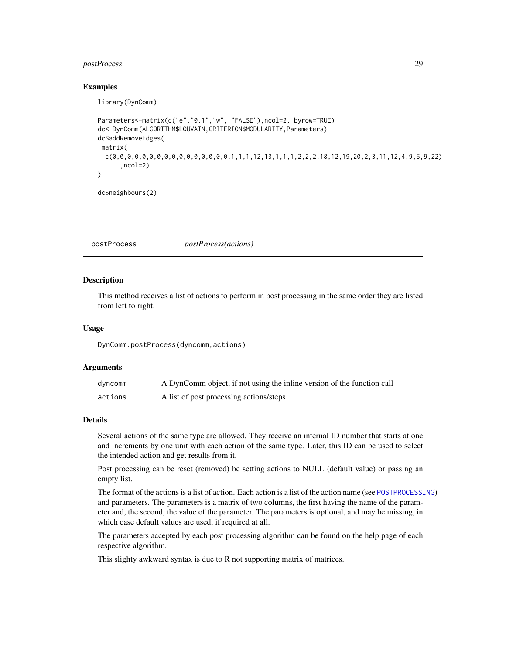# <span id="page-28-0"></span>postProcess 29

## Examples

library(DynComm)

```
Parameters<-matrix(c("e","0.1","w", "FALSE"),ncol=2, byrow=TRUE)
dc<-DynComm(ALGORITHM$LOUVAIN,CRITERION$MODULARITY,Parameters)
dc$addRemoveEdges(
matrix(
 c(0,0,0,0,0,0,0,0,0,0,0,0,0,0,0,0,0,0,1,1,1,12,13,1,1,1,2,2,2,18,12,19,20,2,3,11,12,4,9,5,9,22),ncol=2)
)
```
dc\$neighbours(2)

# <span id="page-28-1"></span>postProcess *postProcess(actions)*

#### Description

This method receives a list of actions to perform in post processing in the same order they are listed from left to right.

#### Usage

DynComm.postProcess(dyncomm,actions)

## Arguments

| dyncomm | A DynComm object, if not using the inline version of the function call |
|---------|------------------------------------------------------------------------|
| actions | A list of post processing actions/steps                                |

## Details

Several actions of the same type are allowed. They receive an internal ID number that starts at one and increments by one unit with each action of the same type. Later, this ID can be used to select the intended action and get results from it.

Post processing can be reset (removed) be setting actions to NULL (default value) or passing an empty list.

The format of the actions is a list of action. Each action is a list of the action name (see [POSTPROCESSING](#page-29-1)) and parameters. The parameters is a matrix of two columns, the first having the name of the parameter and, the second, the value of the parameter. The parameters is optional, and may be missing, in which case default values are used, if required at all.

The parameters accepted by each post processing algorithm can be found on the help page of each respective algorithm.

This slighty awkward syntax is due to R not supporting matrix of matrices.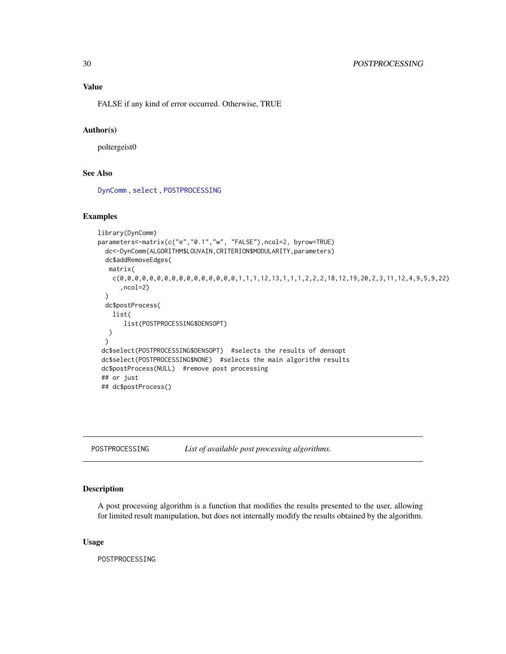## <span id="page-29-0"></span>Value

FALSE if any kind of error occurred. Otherwise, TRUE

#### Author(s)

poltergeist0

# See Also

[DynComm](#page-20-1) , [select](#page-34-1) , [POSTPROCESSING](#page-29-1)

# Examples

```
library(DynComm)
parameters<-matrix(c("e","0.1","w", "FALSE"),ncol=2, byrow=TRUE)
 dc<-DynComm(ALGORITHM$LOUVAIN,CRITERION$MODULARITY,parameters)
 dc$addRemoveEdges(
  matrix(
   c(0,0,0,0,0,0,0,0,0,0,0,0,0,0,0,0,0,0,1,1,1,1,2,13,1,1,1,2,2,2,18,12,19,20,2,3,11,12,4,9,5,9,22),ncol=2)
 )
 dc$postProcess(
   list(
      list(POSTPROCESSING$DENSOPT)
  )
 )
 dc$select(POSTPROCESSING$DENSOPT) #selects the results of densopt
dc$select(POSTPROCESSING$NONE) #selects the main algorithm results
dc$postProcess(NULL) #remove post processing
## or just
## dc$postProcess()
```
<span id="page-29-1"></span>POSTPROCESSING *List of available post processing algorithms.*

# Description

A post processing algorithm is a function that modifies the results presented to the user, allowing for limited result manipulation, but does not internally modify the results obtained by the algorithm.

#### Usage

POSTPROCESSING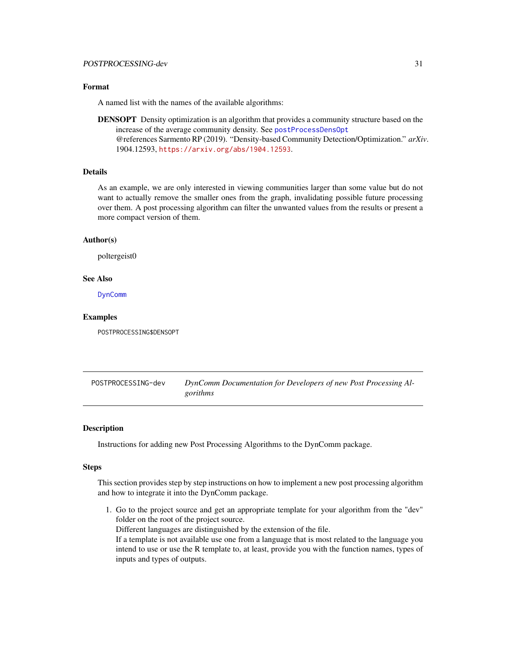#### <span id="page-30-0"></span>Format

A named list with the names of the available algorithms:

**DENSOPT** Density optimization is an algorithm that provides a community structure based on the increase of the average community density. See [postProcessDensOpt](#page-0-0) @references Sarmento RP (2019). "Density-based Community Detection/Optimization." *arXiv*. 1904.12593, <https://arxiv.org/abs/1904.12593>.

## Details

As an example, we are only interested in viewing communities larger than some value but do not want to actually remove the smaller ones from the graph, invalidating possible future processing over them. A post processing algorithm can filter the unwanted values from the results or present a more compact version of them.

## Author(s)

poltergeist0

#### See Also

[DynComm](#page-20-1)

## Examples

POSTPROCESSING\$DENSOPT

<span id="page-30-1"></span>POSTPROCESSING-dev *DynComm Documentation for Developers of new Post Processing Algorithms*

#### **Description**

Instructions for adding new Post Processing Algorithms to the DynComm package.

#### Steps

This section provides step by step instructions on how to implement a new post processing algorithm and how to integrate it into the DynComm package.

1. Go to the project source and get an appropriate template for your algorithm from the "dev" folder on the root of the project source. Different languages are distinguished by the extension of the file.

If a template is not available use one from a language that is most related to the language you intend to use or use the R template to, at least, provide you with the function names, types of inputs and types of outputs.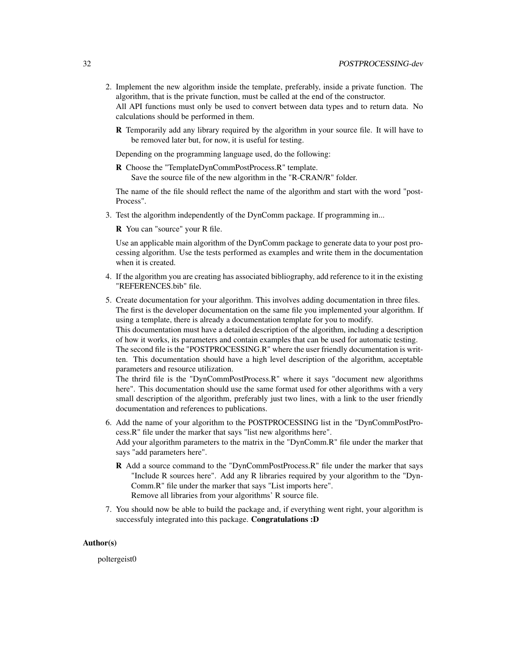- 2. Implement the new algorithm inside the template, preferably, inside a private function. The algorithm, that is the private function, must be called at the end of the constructor. All API functions must only be used to convert between data types and to return data. No calculations should be performed in them.
	- **R** Temporarily add any library required by the algorithm in your source file. It will have to be removed later but, for now, it is useful for testing.

Depending on the programming language used, do the following:

R Choose the "TemplateDynCommPostProcess.R" template. Save the source file of the new algorithm in the "R-CRAN/R" folder.

The name of the file should reflect the name of the algorithm and start with the word "post-Process".

3. Test the algorithm independently of the DynComm package. If programming in...

R You can "source" your R file.

Use an applicable main algorithm of the DynComm package to generate data to your post processing algorithm. Use the tests performed as examples and write them in the documentation when it is created.

- 4. If the algorithm you are creating has associated bibliography, add reference to it in the existing "REFERENCES.bib" file.
- 5. Create documentation for your algorithm. This involves adding documentation in three files. The first is the developer documentation on the same file you implemented your algorithm. If using a template, there is already a documentation template for you to modify. This documentation must have a detailed description of the algorithm, including a description of how it works, its parameters and contain examples that can be used for automatic testing. The second file is the "POSTPROCESSING.R" where the user friendly documentation is written. This documentation should have a high level description of the algorithm, acceptable parameters and resource utilization.

The thrird file is the "DynCommPostProcess.R" where it says "document new algorithms here". This documentation should use the same format used for other algorithms with a very small description of the algorithm, preferably just two lines, with a link to the user friendly documentation and references to publications.

- 6. Add the name of your algorithm to the POSTPROCESSING list in the "DynCommPostProcess.R" file under the marker that says "list new algorithms here". Add your algorithm parameters to the matrix in the "DynComm.R" file under the marker that says "add parameters here".
	- R Add a source command to the "DynCommPostProcess.R" file under the marker that says "Include R sources here". Add any R libraries required by your algorithm to the "Dyn-Comm.R" file under the marker that says "List imports here". Remove all libraries from your algorithms' R source file.
- 7. You should now be able to build the package and, if everything went right, your algorithm is successfuly integrated into this package. Congratulations :D

### Author(s)

poltergeist0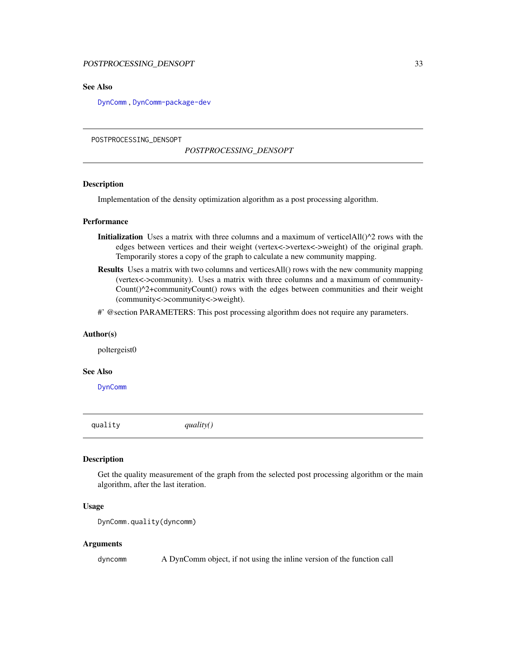## <span id="page-32-0"></span>POSTPROCESSING\_DENSOPT 33

# See Also

[DynComm](#page-20-1) , [DynComm-package-dev](#page-23-1)

#### POSTPROCESSING\_DENSOPT

#### *POSTPROCESSING\_DENSOPT*

# Description

Implementation of the density optimization algorithm as a post processing algorithm.

#### Performance

- **Initialization** Uses a matrix with three columns and a maximum of verticelAll $()^2$  rows with the edges between vertices and their weight (vertex<->vertex<->weight) of the original graph. Temporarily stores a copy of the graph to calculate a new community mapping.
- Results Uses a matrix with two columns and verticesAll() rows with the new community mapping (vertex<->community). Uses a matrix with three columns and a maximum of community-Count()^2+communityCount() rows with the edges between communities and their weight (community<->community<->weight).
- #' @section PARAMETERS: This post processing algorithm does not require any parameters.

#### Author(s)

poltergeist0

#### See Also

[DynComm](#page-20-1)

<span id="page-32-1"></span>quality *quality()*

# **Description**

Get the quality measurement of the graph from the selected post processing algorithm or the main algorithm, after the last iteration.

## Usage

```
DynComm.quality(dyncomm)
```
## Arguments

dyncomm A DynComm object, if not using the inline version of the function call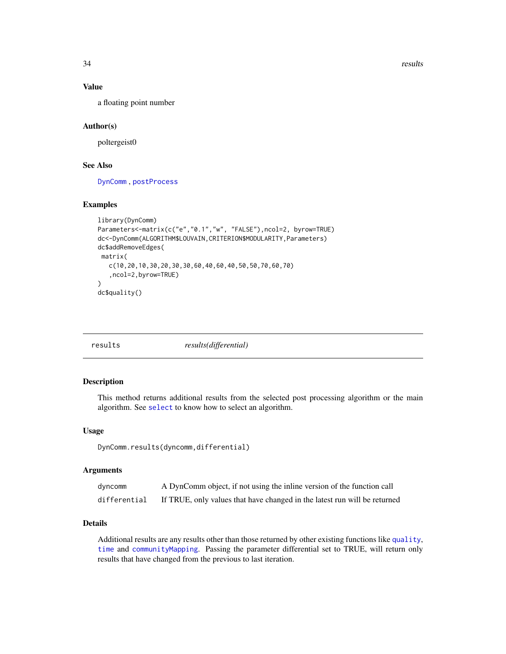<span id="page-33-0"></span>34 results

## Value

a floating point number

## Author(s)

poltergeist0

## See Also

[DynComm](#page-20-1) , [postProcess](#page-28-1)

# Examples

```
library(DynComm)
Parameters<-matrix(c("e","0.1","w", "FALSE"),ncol=2, byrow=TRUE)
dc<-DynComm(ALGORITHM$LOUVAIN,CRITERION$MODULARITY,Parameters)
dc$addRemoveEdges(
 matrix(
   c(10,20,10,30,20,30,30,60,40,60,40,50,50,70,60,70)
   ,ncol=2,byrow=TRUE)
)
dc$quality()
```
<span id="page-33-1"></span>

| results(differential)<br>results |
|----------------------------------|
|----------------------------------|

## Description

This method returns additional results from the selected post processing algorithm or the main algorithm. See [select](#page-34-1) to know how to select an algorithm.

## Usage

```
DynComm.results(dyncomm,differential)
```
#### Arguments

| dyncomm      | A DynComm object, if not using the inline version of the function call    |
|--------------|---------------------------------------------------------------------------|
| differential | If TRUE, only values that have changed in the latest run will be returned |

# Details

Additional results are any results other than those returned by other existing functions like [quality](#page-32-1), [time](#page-36-1) and [communityMapping](#page-13-1). Passing the parameter differential set to TRUE, will return only results that have changed from the previous to last iteration.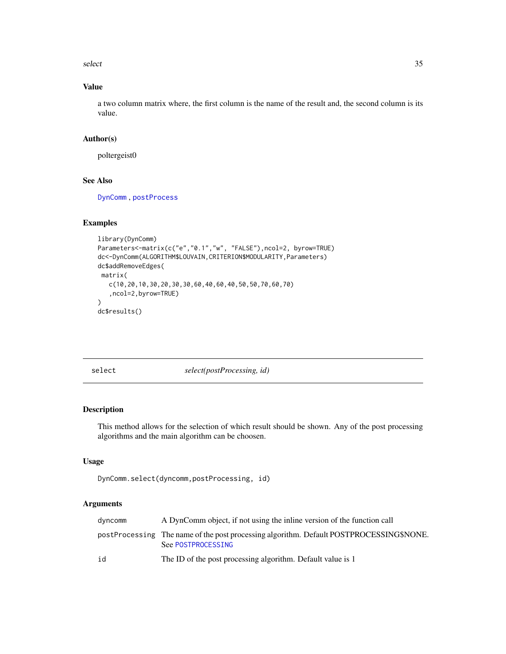<span id="page-34-0"></span>select 35

# Value

a two column matrix where, the first column is the name of the result and, the second column is its value.

# Author(s)

poltergeist0

## See Also

[DynComm](#page-20-1) , [postProcess](#page-28-1)

# Examples

```
library(DynComm)
Parameters<-matrix(c("e","0.1","w", "FALSE"),ncol=2, byrow=TRUE)
dc<-DynComm(ALGORITHM$LOUVAIN,CRITERION$MODULARITY,Parameters)
dc$addRemoveEdges(
matrix(
   c(10,20,10,30,20,30,30,60,40,60,40,50,50,70,60,70)
   ,ncol=2,byrow=TRUE)
)
dc$results()
```
<span id="page-34-1"></span>select *select(postProcessing, id)* 

## Description

This method allows for the selection of which result should be shown. Any of the post processing algorithms and the main algorithm can be choosen.

## Usage

```
DynComm.select(dyncomm,postProcessing, id)
```
# Arguments

| dyncomm | A DynComm object, if not using the inline version of the function call                                        |
|---------|---------------------------------------------------------------------------------------------------------------|
|         | postProcessing The name of the post processing algorithm. Default POSTPROCESSING\$NONE.<br>See POSTPROCESSING |
| id      | The ID of the post processing algorithm. Default value is 1                                                   |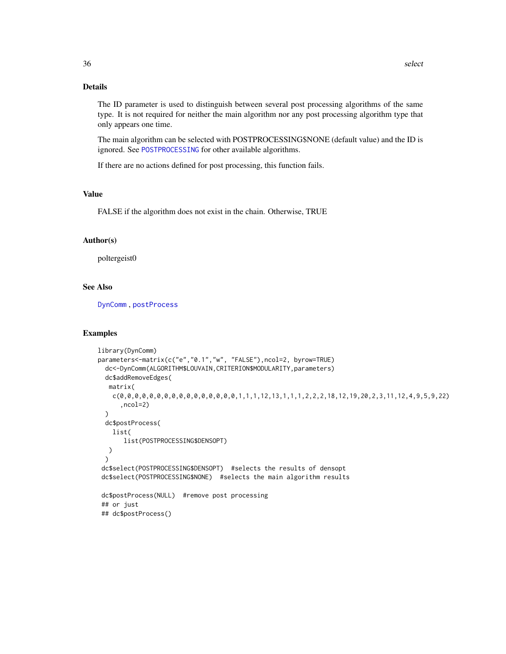# <span id="page-35-0"></span>Details

The ID parameter is used to distinguish between several post processing algorithms of the same type. It is not required for neither the main algorithm nor any post processing algorithm type that only appears one time.

The main algorithm can be selected with POSTPROCESSING\$NONE (default value) and the ID is ignored. See [POSTPROCESSING](#page-29-1) for other available algorithms.

If there are no actions defined for post processing, this function fails.

# Value

FALSE if the algorithm does not exist in the chain. Otherwise, TRUE

# Author(s)

poltergeist0

# See Also

[DynComm](#page-20-1) , [postProcess](#page-28-1)

#### Examples

```
library(DynComm)
parameters<-matrix(c("e","0.1","w", "FALSE"),ncol=2, byrow=TRUE)
 dc<-DynComm(ALGORITHM$LOUVAIN,CRITERION$MODULARITY,parameters)
 dc$addRemoveEdges(
  matrix(
   c(0,0,0,0,0,0,0,0,0,0,0,0,0,0,0,0,0,0,1,1,1,12,13,1,1,1,2,2,2,18,12,19,20,2,3,11,12,4,9,5,9,22),ncol=2)
 )
 dc$postProcess(
   list(
      list(POSTPROCESSING$DENSOPT)
  )
 )
 dc$select(POSTPROCESSING$DENSOPT) #selects the results of densopt
 dc$select(POSTPROCESSING$NONE) #selects the main algorithm results
dc$postProcess(NULL) #remove post processing
 ## or just
## dc$postProcess()
```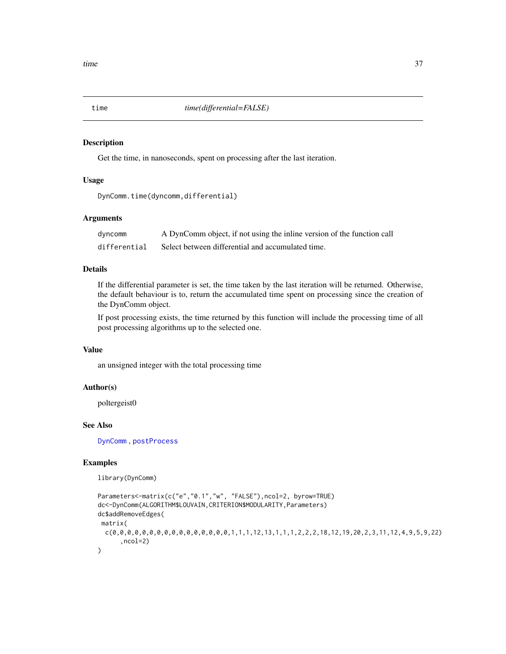<span id="page-36-1"></span><span id="page-36-0"></span>

#### Description

Get the time, in nanoseconds, spent on processing after the last iteration.

## Usage

```
DynComm.time(dyncomm,differential)
```
# Arguments

| dyncomm      | A DynComm object, if not using the inline version of the function call |
|--------------|------------------------------------------------------------------------|
| differential | Select between differential and accumulated time.                      |

# Details

If the differential parameter is set, the time taken by the last iteration will be returned. Otherwise, the default behaviour is to, return the accumulated time spent on processing since the creation of the DynComm object.

If post processing exists, the time returned by this function will include the processing time of all post processing algorithms up to the selected one.

# Value

an unsigned integer with the total processing time

## Author(s)

poltergeist0

## See Also

[DynComm](#page-20-1) , [postProcess](#page-28-1)

## Examples

library(DynComm)

```
Parameters<-matrix(c("e","0.1","w", "FALSE"),ncol=2, byrow=TRUE)
dc<-DynComm(ALGORITHM$LOUVAIN,CRITERION$MODULARITY,Parameters)
dc$addRemoveEdges(
matrix(
 c(0,0,0,0,0,0,0,0,0,0,0,0,0,0,0,0,0,0,1,1,1,12,13,1,1,1,2,2,2,18,12,19,20,2,3,11,12,4,9,5,9,22),ncol=2)
\mathcal{L}
```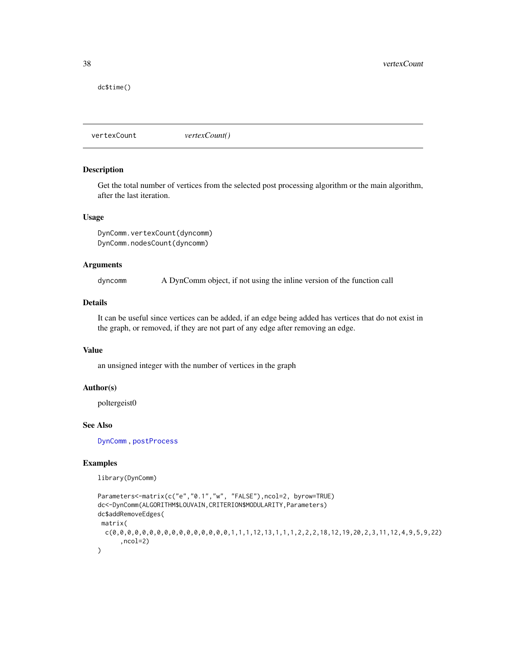<span id="page-37-0"></span>dc\$time()

<span id="page-37-1"></span>vertexCount *vertexCount()*

#### Description

Get the total number of vertices from the selected post processing algorithm or the main algorithm, after the last iteration.

## Usage

```
DynComm.vertexCount(dyncomm)
DynComm.nodesCount(dyncomm)
```
## Arguments

dyncomm A DynComm object, if not using the inline version of the function call

## Details

It can be useful since vertices can be added, if an edge being added has vertices that do not exist in the graph, or removed, if they are not part of any edge after removing an edge.

# Value

an unsigned integer with the number of vertices in the graph

## Author(s)

poltergeist0

## See Also

[DynComm](#page-20-1) , [postProcess](#page-28-1)

## Examples

library(DynComm)

```
Parameters<-matrix(c("e","0.1","w", "FALSE"),ncol=2, byrow=TRUE)
dc<-DynComm(ALGORITHM$LOUVAIN,CRITERION$MODULARITY,Parameters)
dc$addRemoveEdges(
matrix(
 c(0,0,0,0,0,0,0,0,0,0,0,0,0,0,0,0,0,0,1,1,1,1,2,13,1,1,1,2,2,2,18,12,19,20,2,3,11,12,4,9,5,9,22),ncol=2)
\mathcal{L}
```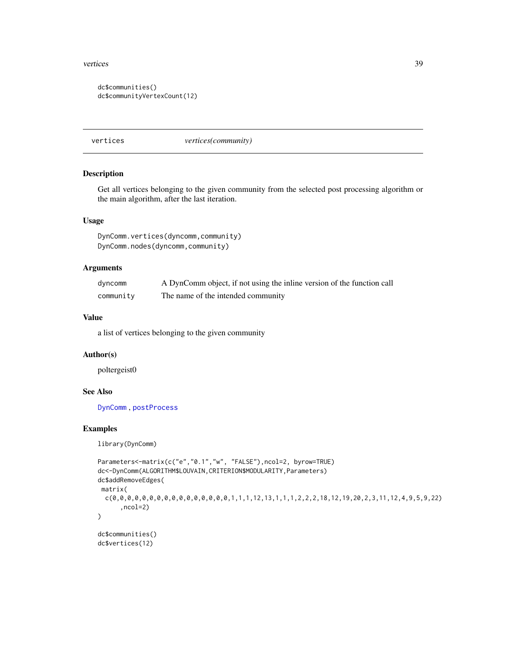#### <span id="page-38-0"></span>vertices 39

```
dc$communities()
dc$communityVertexCount(12)
```
<span id="page-38-1"></span>vertices *vertices(community)*

#### Description

Get all vertices belonging to the given community from the selected post processing algorithm or the main algorithm, after the last iteration.

## Usage

```
DynComm.vertices(dyncomm,community)
DynComm.nodes(dyncomm,community)
```
# Arguments

| dyncomm   | A DynComm object, if not using the inline version of the function call |
|-----------|------------------------------------------------------------------------|
| community | The name of the intended community                                     |

## Value

a list of vertices belonging to the given community

## Author(s)

poltergeist0

# See Also

[DynComm](#page-20-1) , [postProcess](#page-28-1)

#### Examples

library(DynComm)

```
Parameters<-matrix(c("e","0.1","w", "FALSE"),ncol=2, byrow=TRUE)
dc<-DynComm(ALGORITHM$LOUVAIN,CRITERION$MODULARITY,Parameters)
dc$addRemoveEdges(
matrix(
 c(0,0,0,0,0,0,0,0,0,0,0,0,0,0,0,0,1,1,1,12,13,1,1,1,2,2,2,18,12,19,20,2,3,11,12,4,9,5,9,22)
      ,ncol=2)
)
dc$communities()
dc$vertices(12)
```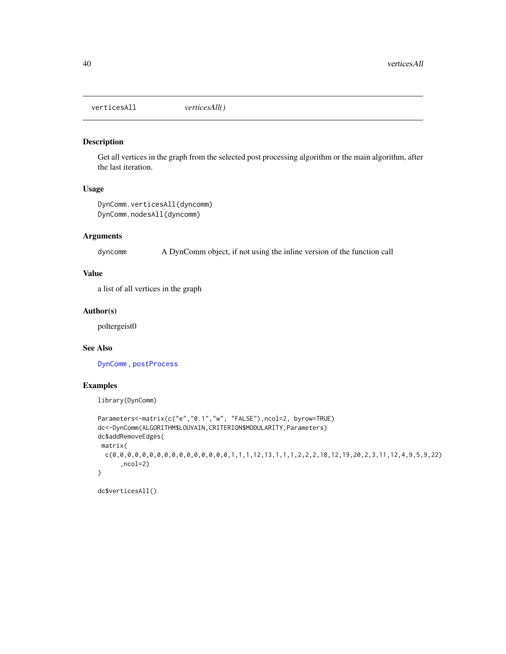<span id="page-39-1"></span><span id="page-39-0"></span>verticesAll *verticesAll()*

# Description

Get all vertices in the graph from the selected post processing algorithm or the main algorithm, after the last iteration.

# Usage

```
DynComm.verticesAll(dyncomm)
DynComm.nodesAll(dyncomm)
```
# Arguments

dyncomm A DynComm object, if not using the inline version of the function call

# Value

a list of all vertices in the graph

# Author(s)

poltergeist0

# See Also

[DynComm](#page-20-1) , [postProcess](#page-28-1)

# Examples

library(DynComm)

```
Parameters<-matrix(c("e","0.1","w", "FALSE"),ncol=2, byrow=TRUE)
dc<-DynComm(ALGORITHM$LOUVAIN,CRITERION$MODULARITY,Parameters)
dc$addRemoveEdges(
matrix(
 c(0,0,0,0,0,0,0,0,0,0,0,0,0,0,0,0,0,0,1,1,1,1,2,13,1,1,1,2,2,2,18,12,19,20,2,3,11,12,4,9,5,9,22),ncol=2)
\mathcal{L}
```
dc\$verticesAll()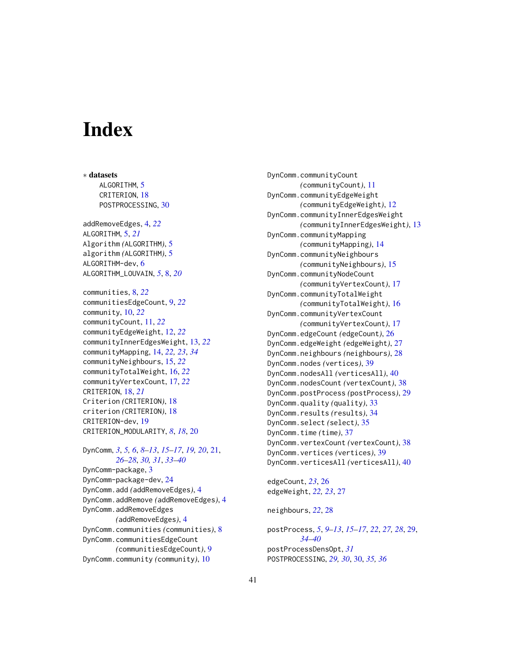# <span id="page-40-0"></span>**Index**

∗ datasets ALGORITHM, [5](#page-4-0) CRITERION, [18](#page-17-0) POSTPROCESSING, [30](#page-29-0) addRemoveEdges, [4,](#page-3-0) *[22](#page-21-0)* ALGORITHM, [5,](#page-4-0) *[21](#page-20-0)* Algorithm *(*ALGORITHM*)*, [5](#page-4-0) algorithm *(*ALGORITHM*)*, [5](#page-4-0) ALGORITHM-dev, [6](#page-5-0) ALGORITHM\_LOUVAIN, *[5](#page-4-0)*, [8,](#page-7-0) *[20](#page-19-0)* communities, [8,](#page-7-0) *[22](#page-21-0)* communitiesEdgeCount, [9,](#page-8-0) *[22](#page-21-0)* community, [10,](#page-9-0) *[22](#page-21-0)* communityCount, [11,](#page-10-0) *[22](#page-21-0)* communityEdgeWeight, [12,](#page-11-0) *[22](#page-21-0)* communityInnerEdgesWeight, [13,](#page-12-0) *[22](#page-21-0)* communityMapping, [14,](#page-13-0) *[22,](#page-21-0) [23](#page-22-0)*, *[34](#page-33-0)* communityNeighbours, [15,](#page-14-0) *[22](#page-21-0)* communityTotalWeight, [16,](#page-15-0) *[22](#page-21-0)* communityVertexCount, [17,](#page-16-0) *[22](#page-21-0)* CRITERION, [18,](#page-17-0) *[21](#page-20-0)* Criterion *(*CRITERION*)*, [18](#page-17-0) criterion *(*CRITERION*)*, [18](#page-17-0) CRITERION-dev, [19](#page-18-0) CRITERION\_MODULARITY, *[8](#page-7-0)*, *[18](#page-17-0)*, [20](#page-19-0) DynComm, *[3](#page-2-0)*, *[5,](#page-4-0) [6](#page-5-0)*, *[8](#page-7-0)[–13](#page-12-0)*, *[15–](#page-14-0)[17](#page-16-0)*, *[19,](#page-18-0) [20](#page-19-0)*, [21,](#page-20-0) *[26](#page-25-0)[–28](#page-27-0)*, *[30,](#page-29-0) [31](#page-30-0)*, *[33–](#page-32-0)[40](#page-39-0)* DynComm-package, [3](#page-2-0) DynComm-package-dev, [24](#page-23-0) DynComm.add *(*addRemoveEdges*)*, [4](#page-3-0) DynComm.addRemove *(*addRemoveEdges*)*, [4](#page-3-0) DynComm.addRemoveEdges *(*addRemoveEdges*)*, [4](#page-3-0) DynComm.communities *(*communities*)*, [8](#page-7-0) DynComm.communitiesEdgeCount *(*communitiesEdgeCount*)*, [9](#page-8-0) DynComm.community *(*community*)*, [10](#page-9-0)

DynComm.communityCount *(*communityCount*)*, [11](#page-10-0) DynComm.communityEdgeWeight *(*communityEdgeWeight*)*, [12](#page-11-0) DynComm.communityInnerEdgesWeight *(*communityInnerEdgesWeight*)*, [13](#page-12-0) DynComm.communityMapping *(*communityMapping*)*, [14](#page-13-0) DynComm.communityNeighbours *(*communityNeighbours*)*, [15](#page-14-0) DynComm.communityNodeCount *(*communityVertexCount*)*, [17](#page-16-0) DynComm.communityTotalWeight *(*communityTotalWeight*)*, [16](#page-15-0) DynComm.communityVertexCount *(*communityVertexCount*)*, [17](#page-16-0) DynComm.edgeCount *(*edgeCount*)*, [26](#page-25-0) DynComm.edgeWeight *(*edgeWeight*)*, [27](#page-26-0) DynComm.neighbours *(*neighbours*)*, [28](#page-27-0) DynComm.nodes *(*vertices*)*, [39](#page-38-0) DynComm.nodesAll *(*verticesAll*)*, [40](#page-39-0) DynComm.nodesCount *(*vertexCount*)*, [38](#page-37-0) DynComm.postProcess *(*postProcess*)*, [29](#page-28-0) DynComm.quality *(*quality*)*, [33](#page-32-0) DynComm.results *(*results*)*, [34](#page-33-0) DynComm.select *(*select*)*, [35](#page-34-0) DynComm.time *(*time*)*, [37](#page-36-0) DynComm.vertexCount *(*vertexCount*)*, [38](#page-37-0) DynComm.vertices *(*vertices*)*, [39](#page-38-0) DynComm.verticesAll *(*verticesAll*)*, [40](#page-39-0) edgeCount, *[23](#page-22-0)*, [26](#page-25-0)

edgeWeight, *[22,](#page-21-0) [23](#page-22-0)*, [27](#page-26-0)

neighbours, *[22](#page-21-0)*, [28](#page-27-0)

postProcess, *[5](#page-4-0)*, *[9](#page-8-0)[–13](#page-12-0)*, *[15](#page-14-0)[–17](#page-16-0)*, *[22](#page-21-0)*, *[27,](#page-26-0) [28](#page-27-0)*, [29,](#page-28-0) *[34](#page-33-0)[–40](#page-39-0)* postProcessDensOpt, *[31](#page-30-0)* POSTPROCESSING, *[29,](#page-28-0) [30](#page-29-0)*, [30,](#page-29-0) *[35,](#page-34-0) [36](#page-35-0)*